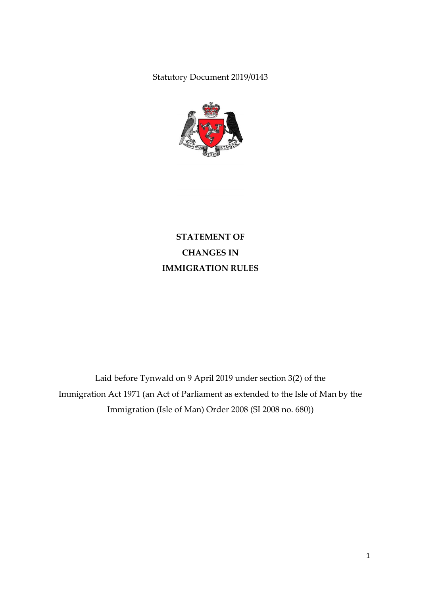Statutory Document 2019/0143



**STATEMENT OF CHANGES IN IMMIGRATION RULES**

Laid before Tynwald on 9 April 2019 under section 3(2) of the Immigration Act 1971 (an Act of Parliament as extended to the Isle of Man by the Immigration (Isle of Man) Order 2008 (SI 2008 no. 680))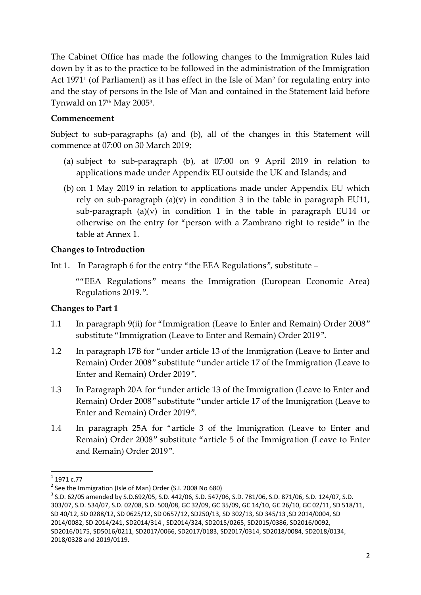The Cabinet Office has made the following changes to the Immigration Rules laid down by it as to the practice to be followed in the administration of the Immigration Act 1971<sup>1</sup> (of Parliament) as it has effect in the Isle of Man<sup>2</sup> for regulating entry into and the stay of persons in the Isle of Man and contained in the Statement laid before Tynwald on 17th May 2005<sup>3</sup>.

### **Commencement**

Subject to sub-paragraphs (a) and (b), all of the changes in this Statement will commence at 07:00 on 30 March 2019;

- (a) subject to sub-paragraph (b), at 07:00 on 9 April 2019 in relation to applications made under Appendix EU outside the UK and Islands; and
- (b) on 1 May 2019 in relation to applications made under Appendix EU which rely on sub-paragraph  $(a)(v)$  in condition 3 in the table in paragraph EU11, sub-paragraph  $(a)(v)$  in condition 1 in the table in paragraph EU14 or otherwise on the entry for "person with a Zambrano right to reside" in the table at Annex 1.

## **Changes to Introduction**

Int 1. In Paragraph 6 for the entry "the EEA Regulations", substitute –

""EEA Regulations" means the Immigration (European Economic Area) Regulations 2019.".

# **Changes to Part 1**

- 1.1 In paragraph 9(ii) for "Immigration (Leave to Enter and Remain) Order 2008" substitute "Immigration (Leave to Enter and Remain) Order 2019".
- 1.2 In paragraph 17B for "under article 13 of the Immigration (Leave to Enter and Remain) Order 2008" substitute "under article 17 of the Immigration (Leave to Enter and Remain) Order 2019".
- 1.3 In Paragraph 20A for "under article 13 of the Immigration (Leave to Enter and Remain) Order 2008" substitute "under article 17 of the Immigration (Leave to Enter and Remain) Order 2019".
- 1.4 In paragraph 25A for "article 3 of the Immigration (Leave to Enter and Remain) Order 2008" substitute "article 5 of the Immigration (Leave to Enter and Remain) Order 2019".

**.** 

 $^{1}$  1971 c.77

<sup>&</sup>lt;sup>2</sup> See the Immigration (Isle of Man) Order (S.I. 2008 No 680)

<sup>3</sup> S.D. 62/05 amended by S.D.692/05, S.D. 442/06, S.D. 547/06, S.D. 781/06, S.D. 871/06, S.D. 124/07, S.D. 303/07, S.D. 534/07, S.D. 02/08, S.D. 500/08, GC 32/09, GC 35/09, GC 14/10, GC 26/10, GC 02/11, SD 518/11, SD 40/12, SD 0288/12, SD 0625/12, SD 0657/12, SD250/13, SD 302/13, SD 345/13 ,SD 2014/0004, SD 2014/0082, SD 2014/241, SD2014/314 , SD2014/324, SD2015/0265, SD2015/0386, SD2016/0092, SD2016/0175, SD5016/0211, SD2017/0066, SD2017/0183, SD2017/0314, SD2018/0084, SD2018/0134, 2018/0328 and 2019/0119.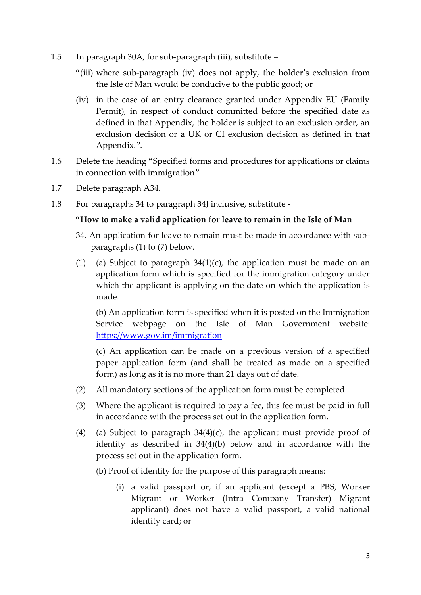- 1.5 In paragraph 30A, for sub-paragraph (iii), substitute
	- "(iii) where sub-paragraph (iv) does not apply, the holder's exclusion from the Isle of Man would be conducive to the public good; or
	- (iv) in the case of an entry clearance granted under Appendix EU (Family Permit), in respect of conduct committed before the specified date as defined in that Appendix, the holder is subject to an exclusion order, an exclusion decision or a UK or CI exclusion decision as defined in that Appendix.".
- 1.6 Delete the heading "Specified forms and procedures for applications or claims in connection with immigration"
- 1.7 Delete paragraph A34.
- 1.8 For paragraphs 34 to paragraph 34J inclusive, substitute -

### "**How to make a valid application for leave to remain in the Isle of Man**

- 34. An application for leave to remain must be made in accordance with subparagraphs (1) to (7) below.
- (1) (a) Subject to paragraph  $34(1)(c)$ , the application must be made on an application form which is specified for the immigration category under which the applicant is applying on the date on which the application is made.

(b) An application form is specified when it is posted on the Immigration Service webpage on the Isle of Man Government website: <https://www.gov.im/immigration>

(c) An application can be made on a previous version of a specified paper application form (and shall be treated as made on a specified form) as long as it is no more than 21 days out of date.

- (2) All mandatory sections of the application form must be completed.
- (3) Where the applicant is required to pay a fee, this fee must be paid in full in accordance with the process set out in the application form.
- (4) (a) Subject to paragraph  $34(4)(c)$ , the applicant must provide proof of identity as described in 34(4)(b) below and in accordance with the process set out in the application form.
	- (b) Proof of identity for the purpose of this paragraph means:
		- (i) a valid passport or, if an applicant (except a PBS, Worker Migrant or Worker (Intra Company Transfer) Migrant applicant) does not have a valid passport, a valid national identity card; or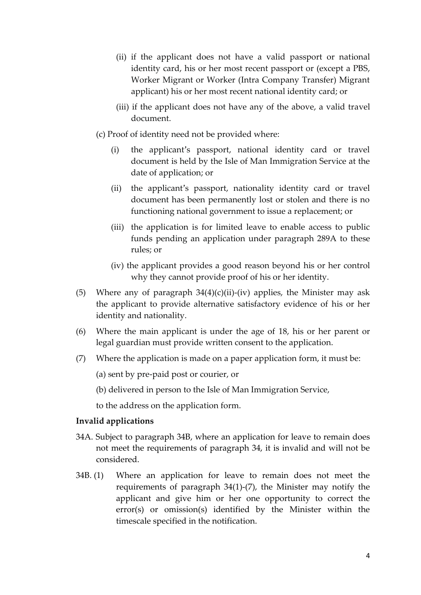- (ii) if the applicant does not have a valid passport or national identity card, his or her most recent passport or (except a PBS, Worker Migrant or Worker (Intra Company Transfer) Migrant applicant) his or her most recent national identity card; or
- (iii) if the applicant does not have any of the above, a valid travel document.
- (c) Proof of identity need not be provided where:
	- (i) the applicant's passport, national identity card or travel document is held by the Isle of Man Immigration Service at the date of application; or
	- (ii) the applicant's passport, nationality identity card or travel document has been permanently lost or stolen and there is no functioning national government to issue a replacement; or
	- (iii) the application is for limited leave to enable access to public funds pending an application under paragraph 289A to these rules; or
	- (iv) the applicant provides a good reason beyond his or her control why they cannot provide proof of his or her identity.
- (5) Where any of paragraph  $34(4)(c)(ii)$ -(iv) applies, the Minister may ask the applicant to provide alternative satisfactory evidence of his or her identity and nationality.
- (6) Where the main applicant is under the age of 18, his or her parent or legal guardian must provide written consent to the application.
- (7) Where the application is made on a paper application form, it must be:

(a) sent by pre-paid post or courier, or

(b) delivered in person to the Isle of Man Immigration Service,

to the address on the application form.

#### **Invalid applications**

- 34A. Subject to paragraph 34B, where an application for leave to remain does not meet the requirements of paragraph 34, it is invalid and will not be considered.
- 34B. (1) Where an application for leave to remain does not meet the requirements of paragraph 34(1)-(7), the Minister may notify the applicant and give him or her one opportunity to correct the error(s) or omission(s) identified by the Minister within the timescale specified in the notification.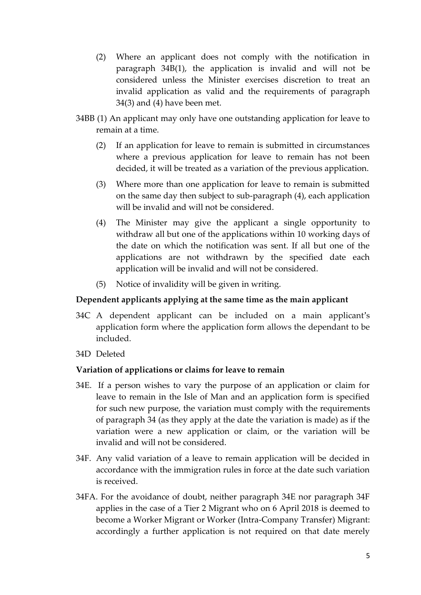- (2) Where an applicant does not comply with the notification in paragraph 34B(1), the application is invalid and will not be considered unless the Minister exercises discretion to treat an invalid application as valid and the requirements of paragraph 34(3) and (4) have been met.
- 34BB (1) An applicant may only have one outstanding application for leave to remain at a time.
	- (2) If an application for leave to remain is submitted in circumstances where a previous application for leave to remain has not been decided, it will be treated as a variation of the previous application.
	- (3) Where more than one application for leave to remain is submitted on the same day then subject to sub-paragraph (4), each application will be invalid and will not be considered.
	- (4) The Minister may give the applicant a single opportunity to withdraw all but one of the applications within 10 working days of the date on which the notification was sent. If all but one of the applications are not withdrawn by the specified date each application will be invalid and will not be considered.
	- (5) Notice of invalidity will be given in writing.

### **Dependent applicants applying at the same time as the main applicant**

- 34C A dependent applicant can be included on a main applicant's application form where the application form allows the dependant to be included.
- 34D Deleted

### **Variation of applications or claims for leave to remain**

- 34E. If a person wishes to vary the purpose of an application or claim for leave to remain in the Isle of Man and an application form is specified for such new purpose, the variation must comply with the requirements of paragraph 34 (as they apply at the date the variation is made) as if the variation were a new application or claim, or the variation will be invalid and will not be considered.
- 34F. Any valid variation of a leave to remain application will be decided in accordance with the immigration rules in force at the date such variation is received.
- 34FA. For the avoidance of doubt, neither paragraph 34E nor paragraph 34F applies in the case of a Tier 2 Migrant who on 6 April 2018 is deemed to become a Worker Migrant or Worker (Intra-Company Transfer) Migrant: accordingly a further application is not required on that date merely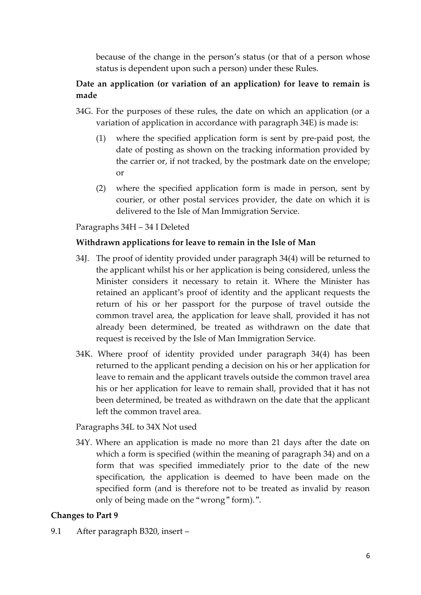because of the change in the person's status (or that of a person whose status is dependent upon such a person) under these Rules.

# **Date an application (or variation of an application) for leave to remain is made**

- 34G. For the purposes of these rules, the date on which an application (or a variation of application in accordance with paragraph 34E) is made is:
	- (1) where the specified application form is sent by pre-paid post, the date of posting as shown on the tracking information provided by the carrier or, if not tracked, by the postmark date on the envelope; or
	- (2) where the specified application form is made in person, sent by courier, or other postal services provider, the date on which it is delivered to the Isle of Man Immigration Service.

### Paragraphs 34H – 34 I Deleted

### **Withdrawn applications for leave to remain in the Isle of Man**

- 34J. The proof of identity provided under paragraph 34(4) will be returned to the applicant whilst his or her application is being considered, unless the Minister considers it necessary to retain it. Where the Minister has retained an applicant's proof of identity and the applicant requests the return of his or her passport for the purpose of travel outside the common travel area, the application for leave shall, provided it has not already been determined, be treated as withdrawn on the date that request is received by the Isle of Man Immigration Service.
- 34K. Where proof of identity provided under paragraph 34(4) has been returned to the applicant pending a decision on his or her application for leave to remain and the applicant travels outside the common travel area his or her application for leave to remain shall, provided that it has not been determined, be treated as withdrawn on the date that the applicant left the common travel area.

#### Paragraphs 34L to 34X Not used

34Y. Where an application is made no more than 21 days after the date on which a form is specified (within the meaning of paragraph 34) and on a form that was specified immediately prior to the date of the new specification, the application is deemed to have been made on the specified form (and is therefore not to be treated as invalid by reason only of being made on the "wrong" form).".

#### **Changes to Part 9**

9.1 After paragraph B320, insert –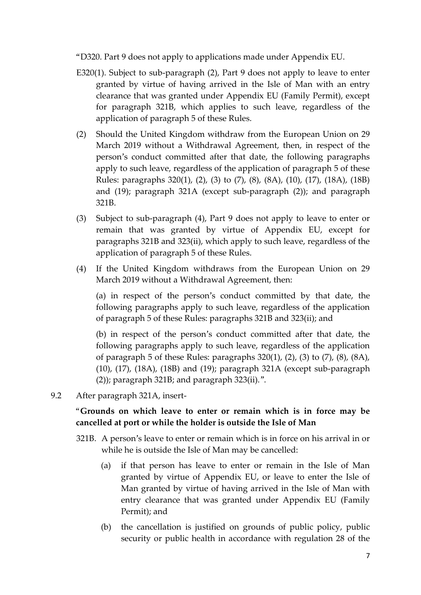"D320. Part 9 does not apply to applications made under Appendix EU.

- E320(1). Subject to sub-paragraph (2), Part 9 does not apply to leave to enter granted by virtue of having arrived in the Isle of Man with an entry clearance that was granted under Appendix EU (Family Permit), except for paragraph 321B, which applies to such leave, regardless of the application of paragraph 5 of these Rules.
- (2) Should the United Kingdom withdraw from the European Union on 29 March 2019 without a Withdrawal Agreement, then, in respect of the person's conduct committed after that date, the following paragraphs apply to such leave, regardless of the application of paragraph 5 of these Rules: paragraphs 320(1), (2), (3) to (7), (8), (8A), (10), (17), (18A), (18B) and (19); paragraph 321A (except sub-paragraph (2)); and paragraph 321B.
- (3) Subject to sub-paragraph (4), Part 9 does not apply to leave to enter or remain that was granted by virtue of Appendix EU, except for paragraphs 321B and 323(ii), which apply to such leave, regardless of the application of paragraph 5 of these Rules.
- (4) If the United Kingdom withdraws from the European Union on 29 March 2019 without a Withdrawal Agreement, then:

(a) in respect of the person's conduct committed by that date, the following paragraphs apply to such leave, regardless of the application of paragraph 5 of these Rules: paragraphs 321B and 323(ii); and

(b) in respect of the person's conduct committed after that date, the following paragraphs apply to such leave, regardless of the application of paragraph 5 of these Rules: paragraphs 320(1), (2), (3) to (7), (8), (8A), (10), (17), (18A), (18B) and (19); paragraph 321A (except sub-paragraph (2)); paragraph 321B; and paragraph 323(ii).".

9.2 After paragraph 321A, insert-

### "**Grounds on which leave to enter or remain which is in force may be cancelled at port or while the holder is outside the Isle of Man**

- 321B. A person's leave to enter or remain which is in force on his arrival in or while he is outside the Isle of Man may be cancelled:
	- (a) if that person has leave to enter or remain in the Isle of Man granted by virtue of Appendix EU, or leave to enter the Isle of Man granted by virtue of having arrived in the Isle of Man with entry clearance that was granted under Appendix EU (Family Permit); and
	- (b) the cancellation is justified on grounds of public policy, public security or public health in accordance with regulation 28 of the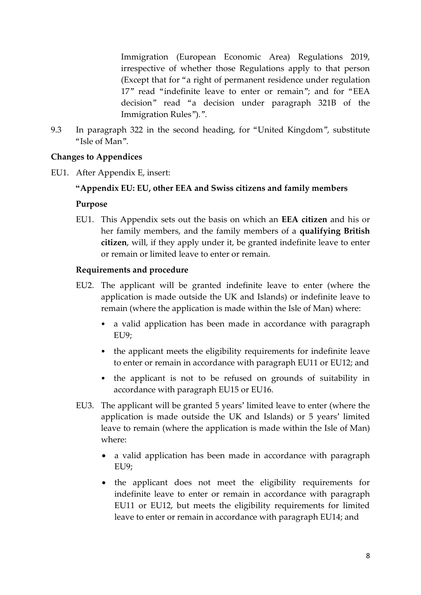Immigration (European Economic Area) Regulations 2019, irrespective of whether those Regulations apply to that person (Except that for "a right of permanent residence under regulation 17" read "indefinite leave to enter or remain"; and for "EEA decision" read "a decision under paragraph 321B of the Immigration Rules").".

9.3 In paragraph 322 in the second heading, for "United Kingdom", substitute "Isle of Man".

### **Changes to Appendices**

EU1. After Appendix E, insert:

### **"Appendix EU: EU, other EEA and Swiss citizens and family members**

#### **Purpose**

EU1. This Appendix sets out the basis on which an **EEA citizen** and his or her family members, and the family members of a **qualifying British citizen**, will, if they apply under it, be granted indefinite leave to enter or remain or limited leave to enter or remain.

#### **Requirements and procedure**

- EU2. The applicant will be granted indefinite leave to enter (where the application is made outside the UK and Islands) or indefinite leave to remain (where the application is made within the Isle of Man) where:
	- a valid application has been made in accordance with paragraph EU9;
	- the applicant meets the eligibility requirements for indefinite leave to enter or remain in accordance with paragraph EU11 or EU12; and
	- the applicant is not to be refused on grounds of suitability in accordance with paragraph EU15 or EU16.
- EU3. The applicant will be granted 5 years' limited leave to enter (where the application is made outside the UK and Islands) or 5 years' limited leave to remain (where the application is made within the Isle of Man) where:
	- a valid application has been made in accordance with paragraph EU9;
	- the applicant does not meet the eligibility requirements for indefinite leave to enter or remain in accordance with paragraph EU11 or EU12, but meets the eligibility requirements for limited leave to enter or remain in accordance with paragraph EU14; and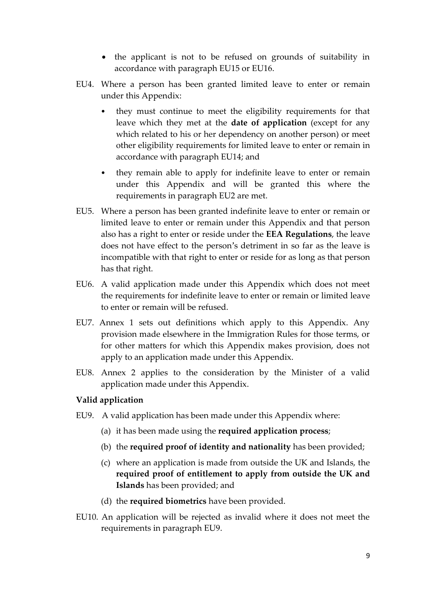- the applicant is not to be refused on grounds of suitability in accordance with paragraph EU15 or EU16.
- EU4. Where a person has been granted limited leave to enter or remain under this Appendix:
	- they must continue to meet the eligibility requirements for that leave which they met at the **date of application** (except for any which related to his or her dependency on another person) or meet other eligibility requirements for limited leave to enter or remain in accordance with paragraph EU14; and
	- they remain able to apply for indefinite leave to enter or remain under this Appendix and will be granted this where the requirements in paragraph EU2 are met.
- EU5. Where a person has been granted indefinite leave to enter or remain or limited leave to enter or remain under this Appendix and that person also has a right to enter or reside under the **EEA Regulations**, the leave does not have effect to the person's detriment in so far as the leave is incompatible with that right to enter or reside for as long as that person has that right.
- EU6. A valid application made under this Appendix which does not meet the requirements for indefinite leave to enter or remain or limited leave to enter or remain will be refused.
- EU7. Annex 1 sets out definitions which apply to this Appendix. Any provision made elsewhere in the Immigration Rules for those terms, or for other matters for which this Appendix makes provision, does not apply to an application made under this Appendix.
- EU8. Annex 2 applies to the consideration by the Minister of a valid application made under this Appendix.

### **Valid application**

- EU9. A valid application has been made under this Appendix where:
	- (a) it has been made using the **required application process**;
	- (b) the **required proof of identity and nationality** has been provided;
	- (c) where an application is made from outside the UK and Islands, the **required proof of entitlement to apply from outside the UK and Islands** has been provided; and
	- (d) the **required biometrics** have been provided.
- EU10. An application will be rejected as invalid where it does not meet the requirements in paragraph EU9.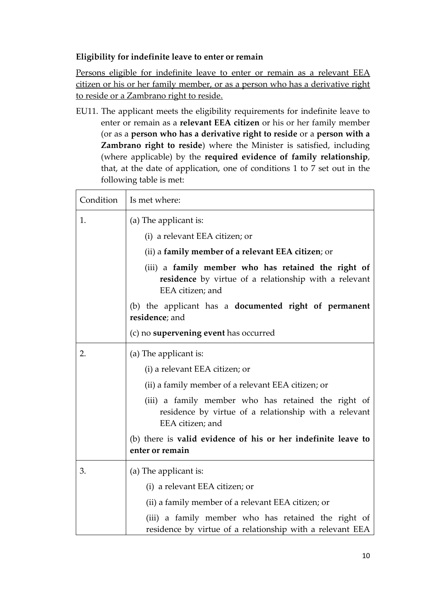# **Eligibility for indefinite leave to enter or remain**

Persons eligible for indefinite leave to enter or remain as a relevant EEA citizen or his or her family member, or as a person who has a derivative right to reside or a Zambrano right to reside.

EU11. The applicant meets the eligibility requirements for indefinite leave to enter or remain as a **relevant EEA citizen** or his or her family member (or as a **person who has a derivative right to reside** or a **person with a Zambrano right to reside**) where the Minister is satisfied, including (where applicable) by the **required evidence of family relationship**, that, at the date of application, one of conditions 1 to 7 set out in the following table is met:

| Condition | Is met where:                                                                                                                    |  |
|-----------|----------------------------------------------------------------------------------------------------------------------------------|--|
| 1.        | (a) The applicant is:                                                                                                            |  |
|           | (i) a relevant EEA citizen; or                                                                                                   |  |
|           | (ii) a family member of a relevant EEA citizen; or                                                                               |  |
|           | (iii) a family member who has retained the right of<br>residence by virtue of a relationship with a relevant<br>EEA citizen; and |  |
|           | (b) the applicant has a <b>documented right of permanent</b><br>residence; and                                                   |  |
|           | (c) no <b>supervening event</b> has occurred                                                                                     |  |
| 2.        | (a) The applicant is:                                                                                                            |  |
|           | (i) a relevant EEA citizen; or                                                                                                   |  |
|           | (ii) a family member of a relevant EEA citizen; or                                                                               |  |
|           | (iii) a family member who has retained the right of<br>residence by virtue of a relationship with a relevant<br>EEA citizen; and |  |
|           | (b) there is valid evidence of his or her indefinite leave to<br>enter or remain                                                 |  |
| 3.        | (a) The applicant is:                                                                                                            |  |
|           | (i) a relevant EEA citizen; or                                                                                                   |  |
|           | (ii) a family member of a relevant EEA citizen; or                                                                               |  |
|           | (iii) a family member who has retained the right of<br>residence by virtue of a relationship with a relevant EEA                 |  |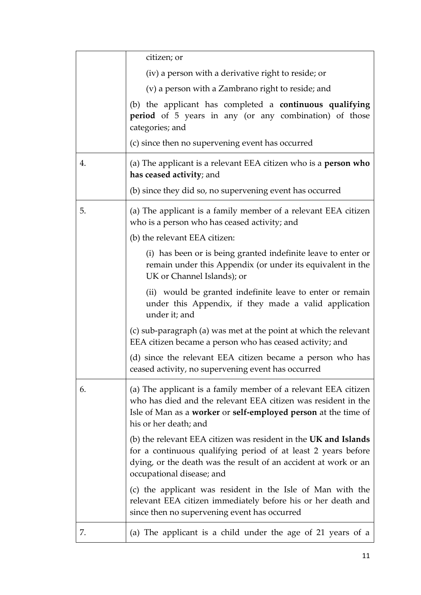|    | citizen; or                                                                                                                                                                                                                      |
|----|----------------------------------------------------------------------------------------------------------------------------------------------------------------------------------------------------------------------------------|
|    | (iv) a person with a derivative right to reside; or                                                                                                                                                                              |
|    | (v) a person with a Zambrano right to reside; and                                                                                                                                                                                |
|    | (b) the applicant has completed a continuous qualifying<br><b>period</b> of 5 years in any (or any combination) of those<br>categories; and                                                                                      |
|    | (c) since then no supervening event has occurred                                                                                                                                                                                 |
| 4. | (a) The applicant is a relevant EEA citizen who is a <b>person who</b><br>has ceased activity; and                                                                                                                               |
|    | (b) since they did so, no supervening event has occurred                                                                                                                                                                         |
| 5. | (a) The applicant is a family member of a relevant EEA citizen<br>who is a person who has ceased activity; and                                                                                                                   |
|    | (b) the relevant EEA citizen:                                                                                                                                                                                                    |
|    | (i) has been or is being granted indefinite leave to enter or<br>remain under this Appendix (or under its equivalent in the<br>UK or Channel Islands); or                                                                        |
|    | (ii) would be granted indefinite leave to enter or remain<br>under this Appendix, if they made a valid application<br>under it; and                                                                                              |
|    | (c) sub-paragraph (a) was met at the point at which the relevant<br>EEA citizen became a person who has ceased activity; and                                                                                                     |
|    | (d) since the relevant EEA citizen became a person who has<br>ceased activity, no supervening event has occurred                                                                                                                 |
| 6. | (a) The applicant is a family member of a relevant EEA citizen<br>who has died and the relevant EEA citizen was resident in the<br>Isle of Man as a worker or self-employed person at the time of<br>his or her death; and       |
|    | (b) the relevant EEA citizen was resident in the UK and Islands<br>for a continuous qualifying period of at least 2 years before<br>dying, or the death was the result of an accident at work or an<br>occupational disease; and |
|    | (c) the applicant was resident in the Isle of Man with the<br>relevant EEA citizen immediately before his or her death and<br>since then no supervening event has occurred                                                       |
| 7. | (a) The applicant is a child under the age of 21 years of a                                                                                                                                                                      |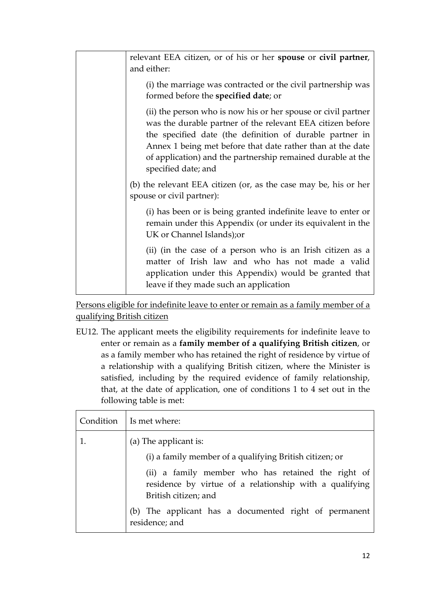| relevant EEA citizen, or of his or her spouse or civil partner,<br>and either:                                                                                                                                                                                                                                                              |
|---------------------------------------------------------------------------------------------------------------------------------------------------------------------------------------------------------------------------------------------------------------------------------------------------------------------------------------------|
| (i) the marriage was contracted or the civil partnership was<br>formed before the specified date; or                                                                                                                                                                                                                                        |
| (ii) the person who is now his or her spouse or civil partner<br>was the durable partner of the relevant EEA citizen before<br>the specified date (the definition of durable partner in<br>Annex 1 being met before that date rather than at the date<br>of application) and the partnership remained durable at the<br>specified date; and |
| (b) the relevant EEA citizen (or, as the case may be, his or her<br>spouse or civil partner):                                                                                                                                                                                                                                               |
| (i) has been or is being granted indefinite leave to enter or<br>remain under this Appendix (or under its equivalent in the<br>UK or Channel Islands); or                                                                                                                                                                                   |
| (ii) (in the case of a person who is an Irish citizen as a<br>matter of Irish law and who has not made a valid<br>application under this Appendix) would be granted that<br>leave if they made such an application                                                                                                                          |

Persons eligible for indefinite leave to enter or remain as a family member of a qualifying British citizen

EU12. The applicant meets the eligibility requirements for indefinite leave to enter or remain as a **family member of a qualifying British citizen**, or as a family member who has retained the right of residence by virtue of a relationship with a qualifying British citizen, where the Minister is satisfied, including by the required evidence of family relationship, that, at the date of application, one of conditions 1 to 4 set out in the following table is met:

| Condition   Is met where:                                                                                                             |
|---------------------------------------------------------------------------------------------------------------------------------------|
| (a) The applicant is:                                                                                                                 |
| (i) a family member of a qualifying British citizen; or                                                                               |
| (ii) a family member who has retained the right of<br>residence by virtue of a relationship with a qualifying<br>British citizen; and |
| (b) The applicant has a documented right of permanent<br>residence; and                                                               |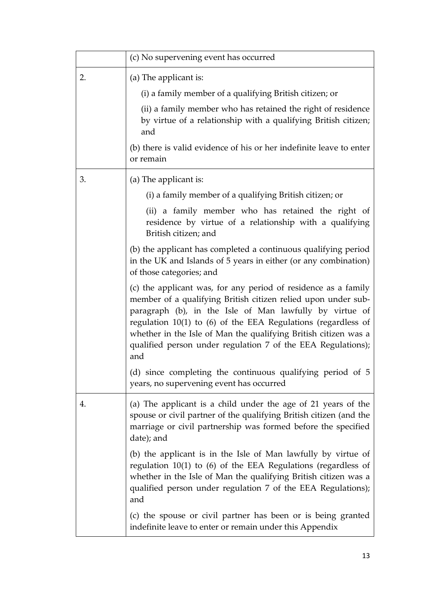|    | (c) No supervening event has occurred                                                                                                                                                                                                                                                                                                                                                                     |
|----|-----------------------------------------------------------------------------------------------------------------------------------------------------------------------------------------------------------------------------------------------------------------------------------------------------------------------------------------------------------------------------------------------------------|
| 2. | (a) The applicant is:                                                                                                                                                                                                                                                                                                                                                                                     |
|    | (i) a family member of a qualifying British citizen; or                                                                                                                                                                                                                                                                                                                                                   |
|    | (ii) a family member who has retained the right of residence<br>by virtue of a relationship with a qualifying British citizen;<br>and                                                                                                                                                                                                                                                                     |
|    | (b) there is valid evidence of his or her indefinite leave to enter<br>or remain                                                                                                                                                                                                                                                                                                                          |
| 3. | (a) The applicant is:                                                                                                                                                                                                                                                                                                                                                                                     |
|    | (i) a family member of a qualifying British citizen; or                                                                                                                                                                                                                                                                                                                                                   |
|    | (ii) a family member who has retained the right of<br>residence by virtue of a relationship with a qualifying<br>British citizen; and                                                                                                                                                                                                                                                                     |
|    | (b) the applicant has completed a continuous qualifying period<br>in the UK and Islands of 5 years in either (or any combination)<br>of those categories; and                                                                                                                                                                                                                                             |
|    | (c) the applicant was, for any period of residence as a family<br>member of a qualifying British citizen relied upon under sub-<br>paragraph (b), in the Isle of Man lawfully by virtue of<br>regulation $10(1)$ to $(6)$ of the EEA Regulations (regardless of<br>whether in the Isle of Man the qualifying British citizen was a<br>qualified person under regulation 7 of the EEA Regulations);<br>and |
|    | (d) since completing the continuous qualifying period of 5<br>years, no supervening event has occurred                                                                                                                                                                                                                                                                                                    |
| 4. | (a) The applicant is a child under the age of 21 years of the<br>spouse or civil partner of the qualifying British citizen (and the<br>marriage or civil partnership was formed before the specified<br>date); and                                                                                                                                                                                        |
|    | (b) the applicant is in the Isle of Man lawfully by virtue of<br>regulation $10(1)$ to $(6)$ of the EEA Regulations (regardless of<br>whether in the Isle of Man the qualifying British citizen was a<br>qualified person under regulation 7 of the EEA Regulations);<br>and                                                                                                                              |
|    | (c) the spouse or civil partner has been or is being granted<br>indefinite leave to enter or remain under this Appendix                                                                                                                                                                                                                                                                                   |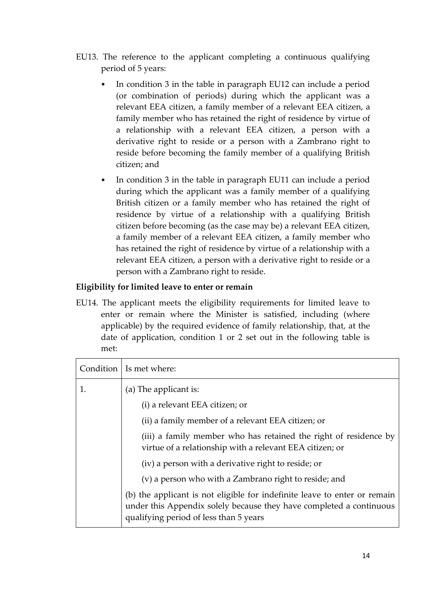- EU13. The reference to the applicant completing a continuous qualifying period of 5 years:
	- In condition 3 in the table in paragraph EU12 can include a period (or combination of periods) during which the applicant was a relevant EEA citizen, a family member of a relevant EEA citizen, a family member who has retained the right of residence by virtue of a relationship with a relevant EEA citizen, a person with a derivative right to reside or a person with a Zambrano right to reside before becoming the family member of a qualifying British citizen; and
	- In condition 3 in the table in paragraph EU11 can include a period during which the applicant was a family member of a qualifying British citizen or a family member who has retained the right of residence by virtue of a relationship with a qualifying British citizen before becoming (as the case may be) a relevant EEA citizen, a family member of a relevant EEA citizen, a family member who has retained the right of residence by virtue of a relationship with a relevant EEA citizen, a person with a derivative right to reside or a person with a Zambrano right to reside.

### **Eligibility for limited leave to enter or remain**

EU14. The applicant meets the eligibility requirements for limited leave to enter or remain where the Minister is satisfied, including (where applicable) by the required evidence of family relationship, that, at the date of application, condition 1 or 2 set out in the following table is met:

|    | Condition   Is met where:                                                                                                                                                                  |
|----|--------------------------------------------------------------------------------------------------------------------------------------------------------------------------------------------|
| 1. | (a) The applicant is:                                                                                                                                                                      |
|    | (i) a relevant EEA citizen; or                                                                                                                                                             |
|    | (ii) a family member of a relevant EEA citizen; or                                                                                                                                         |
|    | (iii) a family member who has retained the right of residence by<br>virtue of a relationship with a relevant EEA citizen; or                                                               |
|    | (iv) a person with a derivative right to reside; or                                                                                                                                        |
|    | (v) a person who with a Zambrano right to reside; and                                                                                                                                      |
|    | (b) the applicant is not eligible for indefinite leave to enter or remain<br>under this Appendix solely because they have completed a continuous<br>qualifying period of less than 5 years |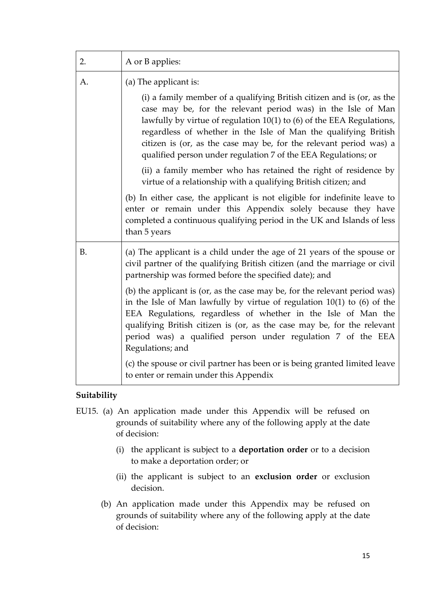| 2. | A or B applies:                                                                                                                                                                                                                                                                                                                                                                                                                                                                                                                                                                                                                                                                                                                      |
|----|--------------------------------------------------------------------------------------------------------------------------------------------------------------------------------------------------------------------------------------------------------------------------------------------------------------------------------------------------------------------------------------------------------------------------------------------------------------------------------------------------------------------------------------------------------------------------------------------------------------------------------------------------------------------------------------------------------------------------------------|
| А. | (a) The applicant is:<br>(i) a family member of a qualifying British citizen and is (or, as the<br>case may be, for the relevant period was) in the Isle of Man<br>lawfully by virtue of regulation $10(1)$ to $(6)$ of the EEA Regulations,<br>regardless of whether in the Isle of Man the qualifying British<br>citizen is (or, as the case may be, for the relevant period was) a<br>qualified person under regulation 7 of the EEA Regulations; or<br>(ii) a family member who has retained the right of residence by<br>virtue of a relationship with a qualifying British citizen; and                                                                                                                                        |
|    | (b) In either case, the applicant is not eligible for indefinite leave to<br>enter or remain under this Appendix solely because they have<br>completed a continuous qualifying period in the UK and Islands of less<br>than 5 years                                                                                                                                                                                                                                                                                                                                                                                                                                                                                                  |
| B. | (a) The applicant is a child under the age of 21 years of the spouse or<br>civil partner of the qualifying British citizen (and the marriage or civil<br>partnership was formed before the specified date); and<br>(b) the applicant is (or, as the case may be, for the relevant period was)<br>in the Isle of Man lawfully by virtue of regulation $10(1)$ to $(6)$ of the<br>EEA Regulations, regardless of whether in the Isle of Man the<br>qualifying British citizen is (or, as the case may be, for the relevant<br>period was) a qualified person under regulation 7 of the EEA<br>Regulations; and<br>(c) the spouse or civil partner has been or is being granted limited leave<br>to enter or remain under this Appendix |

### **Suitability**

- EU15. (a) An application made under this Appendix will be refused on grounds of suitability where any of the following apply at the date of decision:
	- (i) the applicant is subject to a **deportation order** or to a decision to make a deportation order; or
	- (ii) the applicant is subject to an **exclusion order** or exclusion decision.
	- (b) An application made under this Appendix may be refused on grounds of suitability where any of the following apply at the date of decision: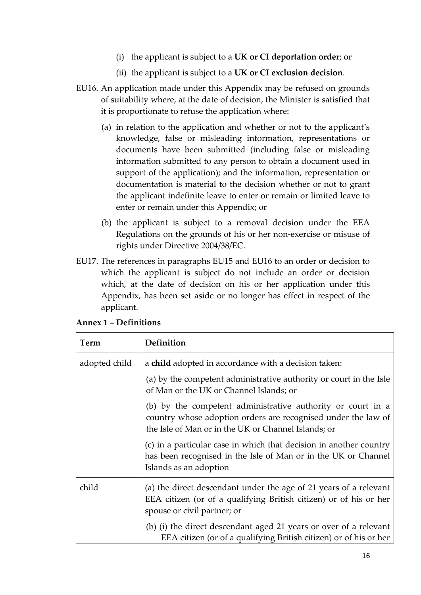- (i) the applicant is subject to a **UK or CI deportation order**; or
- (ii) the applicant is subject to a **UK or CI exclusion decision**.
- EU16. An application made under this Appendix may be refused on grounds of suitability where, at the date of decision, the Minister is satisfied that it is proportionate to refuse the application where:
	- (a) in relation to the application and whether or not to the applicant's knowledge, false or misleading information, representations or documents have been submitted (including false or misleading information submitted to any person to obtain a document used in support of the application); and the information, representation or documentation is material to the decision whether or not to grant the applicant indefinite leave to enter or remain or limited leave to enter or remain under this Appendix; or
	- (b) the applicant is subject to a removal decision under the EEA Regulations on the grounds of his or her non-exercise or misuse of rights under Directive 2004/38/EC.
- EU17. The references in paragraphs EU15 and EU16 to an order or decision to which the applicant is subject do not include an order or decision which, at the date of decision on his or her application under this Appendix, has been set aside or no longer has effect in respect of the applicant.

| Term          | Definition                                                                                                                                                                          |  |
|---------------|-------------------------------------------------------------------------------------------------------------------------------------------------------------------------------------|--|
| adopted child | a child adopted in accordance with a decision taken:                                                                                                                                |  |
|               | (a) by the competent administrative authority or court in the Isle<br>of Man or the UK or Channel Islands; or                                                                       |  |
|               | (b) by the competent administrative authority or court in a<br>country whose adoption orders are recognised under the law of<br>the Isle of Man or in the UK or Channel Islands; or |  |
|               | (c) in a particular case in which that decision in another country<br>has been recognised in the Isle of Man or in the UK or Channel<br>Islands as an adoption                      |  |
| child         | (a) the direct descendant under the age of 21 years of a relevant<br>EEA citizen (or of a qualifying British citizen) or of his or her<br>spouse or civil partner; or               |  |
|               | (b) (i) the direct descendant aged 21 years or over of a relevant<br>EEA citizen (or of a qualifying British citizen) or of his or her                                              |  |

| <b>Annex 1 – Definitions</b> |  |  |
|------------------------------|--|--|
|                              |  |  |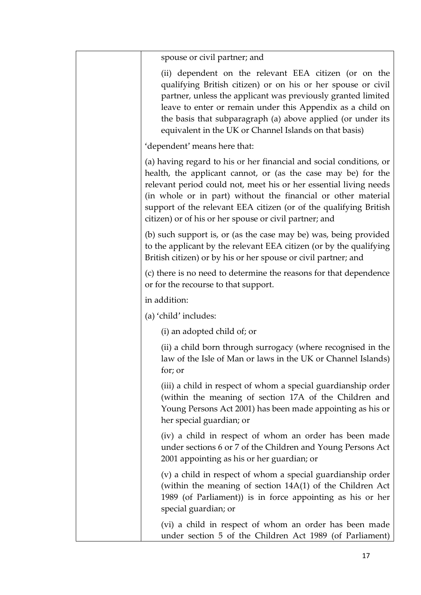| spouse or civil partner; and                                                                                                                                                                                                                                                                                                                                                                              |
|-----------------------------------------------------------------------------------------------------------------------------------------------------------------------------------------------------------------------------------------------------------------------------------------------------------------------------------------------------------------------------------------------------------|
| (ii) dependent on the relevant EEA citizen (or on the<br>qualifying British citizen) or on his or her spouse or civil<br>partner, unless the applicant was previously granted limited<br>leave to enter or remain under this Appendix as a child on<br>the basis that subparagraph (a) above applied (or under its<br>equivalent in the UK or Channel Islands on that basis)                              |
| 'dependent' means here that:                                                                                                                                                                                                                                                                                                                                                                              |
| (a) having regard to his or her financial and social conditions, or<br>health, the applicant cannot, or (as the case may be) for the<br>relevant period could not, meet his or her essential living needs<br>(in whole or in part) without the financial or other material<br>support of the relevant EEA citizen (or of the qualifying British<br>citizen) or of his or her spouse or civil partner; and |
| (b) such support is, or (as the case may be) was, being provided<br>to the applicant by the relevant EEA citizen (or by the qualifying<br>British citizen) or by his or her spouse or civil partner; and                                                                                                                                                                                                  |
| (c) there is no need to determine the reasons for that dependence<br>or for the recourse to that support.                                                                                                                                                                                                                                                                                                 |
| in addition:                                                                                                                                                                                                                                                                                                                                                                                              |
| (a) 'child' includes:                                                                                                                                                                                                                                                                                                                                                                                     |
| (i) an adopted child of; or                                                                                                                                                                                                                                                                                                                                                                               |
| (ii) a child born through surrogacy (where recognised in the<br>law of the Isle of Man or laws in the UK or Channel Islands)<br>for; or                                                                                                                                                                                                                                                                   |
| (iii) a child in respect of whom a special guardianship order<br>(within the meaning of section 17A of the Children and<br>Young Persons Act 2001) has been made appointing as his or<br>her special guardian; or                                                                                                                                                                                         |
| (iv) a child in respect of whom an order has been made<br>under sections 6 or 7 of the Children and Young Persons Act<br>2001 appointing as his or her guardian; or                                                                                                                                                                                                                                       |
| (v) a child in respect of whom a special guardianship order<br>(within the meaning of section 14A(1) of the Children Act<br>1989 (of Parliament)) is in force appointing as his or her<br>special guardian; or                                                                                                                                                                                            |
| (vi) a child in respect of whom an order has been made<br>under section 5 of the Children Act 1989 (of Parliament)                                                                                                                                                                                                                                                                                        |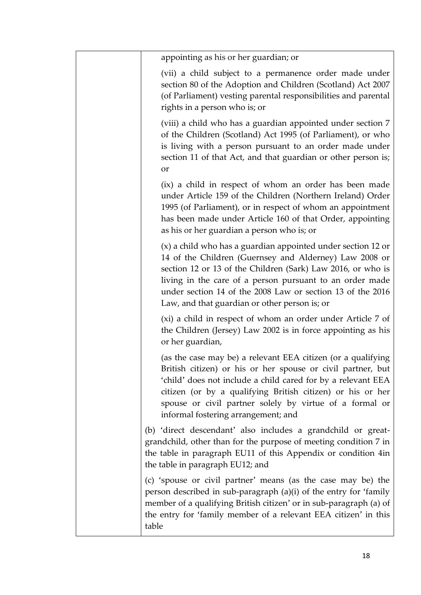| appointing as his or her guardian; or                                                                                                                                                                                                                                                                                                                            |
|------------------------------------------------------------------------------------------------------------------------------------------------------------------------------------------------------------------------------------------------------------------------------------------------------------------------------------------------------------------|
| (vii) a child subject to a permanence order made under<br>section 80 of the Adoption and Children (Scotland) Act 2007<br>(of Parliament) vesting parental responsibilities and parental<br>rights in a person who is; or                                                                                                                                         |
| (viii) a child who has a guardian appointed under section 7<br>of the Children (Scotland) Act 1995 (of Parliament), or who<br>is living with a person pursuant to an order made under<br>section 11 of that Act, and that guardian or other person is;<br>or                                                                                                     |
| (ix) a child in respect of whom an order has been made<br>under Article 159 of the Children (Northern Ireland) Order<br>1995 (of Parliament), or in respect of whom an appointment<br>has been made under Article 160 of that Order, appointing<br>as his or her guardian a person who is; or                                                                    |
| (x) a child who has a guardian appointed under section 12 or<br>14 of the Children (Guernsey and Alderney) Law 2008 or<br>section 12 or 13 of the Children (Sark) Law 2016, or who is<br>living in the care of a person pursuant to an order made<br>under section 14 of the 2008 Law or section 13 of the 2016<br>Law, and that guardian or other person is; or |
| (xi) a child in respect of whom an order under Article 7 of<br>the Children (Jersey) Law 2002 is in force appointing as his<br>or her guardian,                                                                                                                                                                                                                  |
| (as the case may be) a relevant EEA citizen (or a qualifying<br>British citizen) or his or her spouse or civil partner, but<br>'child' does not include a child cared for by a relevant EEA<br>citizen (or by a qualifying British citizen) or his or her<br>spouse or civil partner solely by virtue of a formal or<br>informal fostering arrangement; and      |
| (b) 'direct descendant' also includes a grandchild or great-<br>grandchild, other than for the purpose of meeting condition 7 in<br>the table in paragraph EU11 of this Appendix or condition 4in<br>the table in paragraph EU12; and                                                                                                                            |
| (c) 'spouse or civil partner' means (as the case may be) the<br>person described in sub-paragraph (a)(i) of the entry for 'family<br>member of a qualifying British citizen' or in sub-paragraph (a) of<br>the entry for 'family member of a relevant EEA citizen' in this<br>table                                                                              |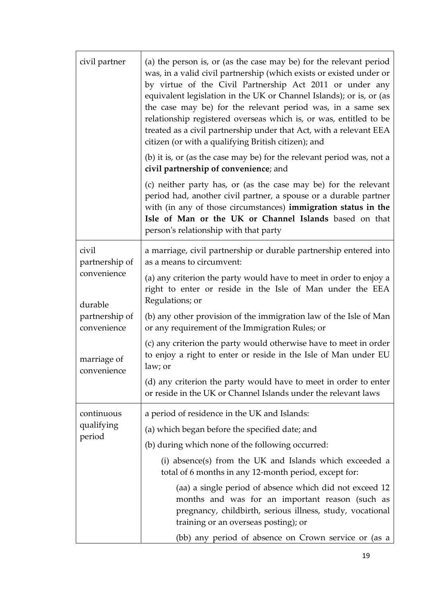| civil partner                 | (a) the person is, or (as the case may be) for the relevant period<br>was, in a valid civil partnership (which exists or existed under or<br>by virtue of the Civil Partnership Act 2011 or under any<br>equivalent legislation in the UK or Channel Islands); or is, or (as<br>the case may be) for the relevant period was, in a same sex<br>relationship registered overseas which is, or was, entitled to be<br>treated as a civil partnership under that Act, with a relevant EEA<br>citizen (or with a qualifying British citizen); and |
|-------------------------------|-----------------------------------------------------------------------------------------------------------------------------------------------------------------------------------------------------------------------------------------------------------------------------------------------------------------------------------------------------------------------------------------------------------------------------------------------------------------------------------------------------------------------------------------------|
|                               | (b) it is, or (as the case may be) for the relevant period was, not a<br>civil partnership of convenience; and                                                                                                                                                                                                                                                                                                                                                                                                                                |
|                               | (c) neither party has, or (as the case may be) for the relevant<br>period had, another civil partner, a spouse or a durable partner<br>with (in any of those circumstances) immigration status in the<br>Isle of Man or the UK or Channel Islands based on that<br>person's relationship with that party                                                                                                                                                                                                                                      |
| civil<br>partnership of       | a marriage, civil partnership or durable partnership entered into<br>as a means to circumvent:                                                                                                                                                                                                                                                                                                                                                                                                                                                |
| convenience<br>durable        | (a) any criterion the party would have to meet in order to enjoy a<br>right to enter or reside in the Isle of Man under the EEA<br>Regulations; or                                                                                                                                                                                                                                                                                                                                                                                            |
| partnership of<br>convenience | (b) any other provision of the immigration law of the Isle of Man<br>or any requirement of the Immigration Rules; or                                                                                                                                                                                                                                                                                                                                                                                                                          |
| marriage of<br>convenience    | (c) any criterion the party would otherwise have to meet in order<br>to enjoy a right to enter or reside in the Isle of Man under EU<br>law; or                                                                                                                                                                                                                                                                                                                                                                                               |
|                               | (d) any criterion the party would have to meet in order to enter<br>or reside in the UK or Channel Islands under the relevant laws                                                                                                                                                                                                                                                                                                                                                                                                            |
| continuous                    | a period of residence in the UK and Islands:                                                                                                                                                                                                                                                                                                                                                                                                                                                                                                  |
| qualifying                    | (a) which began before the specified date; and                                                                                                                                                                                                                                                                                                                                                                                                                                                                                                |
| period                        | (b) during which none of the following occurred:                                                                                                                                                                                                                                                                                                                                                                                                                                                                                              |
|                               | (i) absence(s) from the UK and Islands which exceeded a<br>total of 6 months in any 12-month period, except for:                                                                                                                                                                                                                                                                                                                                                                                                                              |
|                               | (aa) a single period of absence which did not exceed 12<br>months and was for an important reason (such as<br>pregnancy, childbirth, serious illness, study, vocational<br>training or an overseas posting); or                                                                                                                                                                                                                                                                                                                               |
|                               | (bb) any period of absence on Crown service or (as a                                                                                                                                                                                                                                                                                                                                                                                                                                                                                          |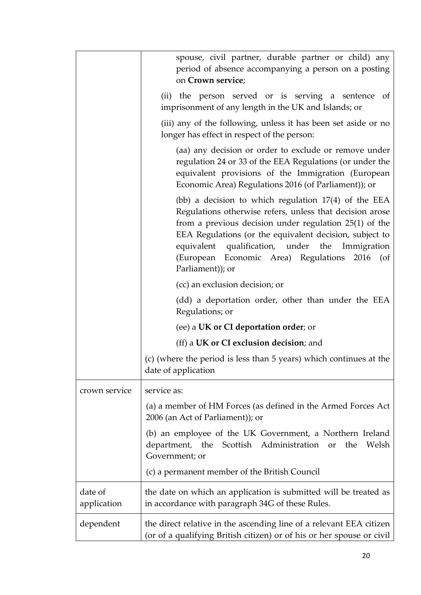|                        | spouse, civil partner, durable partner or child) any<br>period of absence accompanying a person on a posting<br>on Crown service;                                                                                                                                                                                                                                       |
|------------------------|-------------------------------------------------------------------------------------------------------------------------------------------------------------------------------------------------------------------------------------------------------------------------------------------------------------------------------------------------------------------------|
|                        | (ii) the person served or is serving a sentence<br>of<br>imprisonment of any length in the UK and Islands; or                                                                                                                                                                                                                                                           |
|                        | (iii) any of the following, unless it has been set aside or no<br>longer has effect in respect of the person:                                                                                                                                                                                                                                                           |
|                        | (aa) any decision or order to exclude or remove under<br>regulation 24 or 33 of the EEA Regulations (or under the<br>equivalent provisions of the Immigration (European<br>Economic Area) Regulations 2016 (of Parliament)); or                                                                                                                                         |
|                        | (bb) a decision to which regulation $17(4)$ of the EEA<br>Regulations otherwise refers, unless that decision arose<br>from a previous decision under regulation 25(1) of the<br>EEA Regulations (or the equivalent decision, subject to<br>equivalent qualification, under the<br>Immigration<br>(European Economic Area) Regulations<br>$2016$ (of<br>Parliament)); or |
|                        | (cc) an exclusion decision; or                                                                                                                                                                                                                                                                                                                                          |
|                        | (dd) a deportation order, other than under the EEA<br>Regulations; or                                                                                                                                                                                                                                                                                                   |
|                        | (ee) a UK or CI deportation order; or                                                                                                                                                                                                                                                                                                                                   |
|                        | (ff) a UK or CI exclusion decision; and                                                                                                                                                                                                                                                                                                                                 |
|                        | (c) (where the period is less than 5 years) which continues at the<br>date of application                                                                                                                                                                                                                                                                               |
| crown service          | service as:                                                                                                                                                                                                                                                                                                                                                             |
|                        | (a) a member of HM Forces (as defined in the Armed Forces Act<br>2006 (an Act of Parliament)); or                                                                                                                                                                                                                                                                       |
|                        | (b) an employee of the UK Government, a Northern Ireland<br>department, the Scottish Administration<br>Welsh<br>the<br>or<br>Government; or                                                                                                                                                                                                                             |
|                        | (c) a permanent member of the British Council                                                                                                                                                                                                                                                                                                                           |
| date of<br>application | the date on which an application is submitted will be treated as<br>in accordance with paragraph 34G of these Rules.                                                                                                                                                                                                                                                    |
| dependent              | the direct relative in the ascending line of a relevant EEA citizen<br>(or of a qualifying British citizen) or of his or her spouse or civil                                                                                                                                                                                                                            |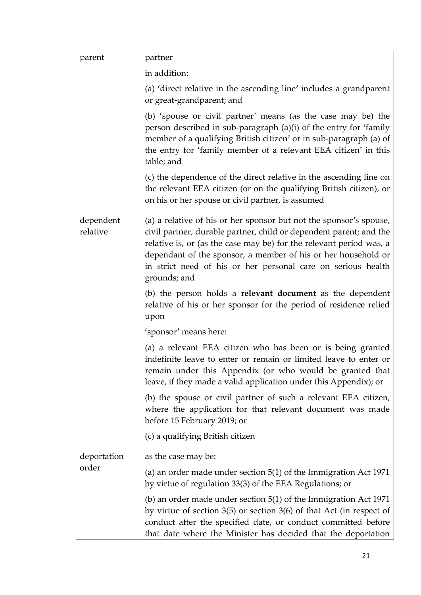| parent                | partner                                                                                                                                                                                                                                                                                                                                                          |
|-----------------------|------------------------------------------------------------------------------------------------------------------------------------------------------------------------------------------------------------------------------------------------------------------------------------------------------------------------------------------------------------------|
|                       | in addition:                                                                                                                                                                                                                                                                                                                                                     |
|                       | (a) 'direct relative in the ascending line' includes a grandparent<br>or great-grandparent; and                                                                                                                                                                                                                                                                  |
|                       | (b) 'spouse or civil partner' means (as the case may be) the<br>person described in sub-paragraph (a)(i) of the entry for 'family<br>member of a qualifying British citizen' or in sub-paragraph (a) of<br>the entry for 'family member of a relevant EEA citizen' in this<br>table; and                                                                         |
|                       | (c) the dependence of the direct relative in the ascending line on<br>the relevant EEA citizen (or on the qualifying British citizen), or<br>on his or her spouse or civil partner, is assumed                                                                                                                                                                   |
| dependent<br>relative | (a) a relative of his or her sponsor but not the sponsor's spouse,<br>civil partner, durable partner, child or dependent parent; and the<br>relative is, or (as the case may be) for the relevant period was, a<br>dependant of the sponsor, a member of his or her household or<br>in strict need of his or her personal care on serious health<br>grounds; and |
|                       | (b) the person holds a <b>relevant document</b> as the dependent<br>relative of his or her sponsor for the period of residence relied<br>upon                                                                                                                                                                                                                    |
|                       | 'sponsor' means here:                                                                                                                                                                                                                                                                                                                                            |
|                       | (a) a relevant EEA citizen who has been or is being granted<br>indefinite leave to enter or remain or limited leave to enter or<br>remain under this Appendix (or who would be granted that<br>leave, if they made a valid application under this Appendix); or                                                                                                  |
|                       | (b) the spouse or civil partner of such a relevant EEA citizen,<br>where the application for that relevant document was made<br>before 15 February 2019; or                                                                                                                                                                                                      |
|                       | (c) a qualifying British citizen                                                                                                                                                                                                                                                                                                                                 |
| deportation<br>order  | as the case may be:                                                                                                                                                                                                                                                                                                                                              |
|                       | (a) an order made under section $5(1)$ of the Immigration Act 1971<br>by virtue of regulation 33(3) of the EEA Regulations; or                                                                                                                                                                                                                                   |
|                       | (b) an order made under section $5(1)$ of the Immigration Act 1971<br>by virtue of section $3(5)$ or section $3(6)$ of that Act (in respect of<br>conduct after the specified date, or conduct committed before<br>that date where the Minister has decided that the deportation                                                                                 |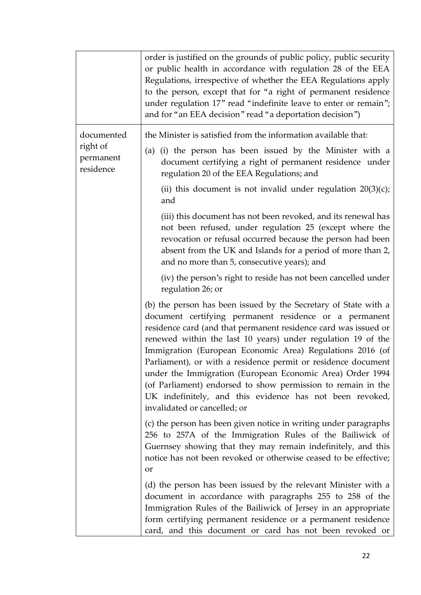|                                    | order is justified on the grounds of public policy, public security<br>or public health in accordance with regulation 28 of the EEA<br>Regulations, irrespective of whether the EEA Regulations apply<br>to the person, except that for "a right of permanent residence<br>under regulation 17" read "indefinite leave to enter or remain";<br>and for "an EEA decision" read "a deportation decision")                                                                                                                                                                                                             |
|------------------------------------|---------------------------------------------------------------------------------------------------------------------------------------------------------------------------------------------------------------------------------------------------------------------------------------------------------------------------------------------------------------------------------------------------------------------------------------------------------------------------------------------------------------------------------------------------------------------------------------------------------------------|
| documented                         | the Minister is satisfied from the information available that:                                                                                                                                                                                                                                                                                                                                                                                                                                                                                                                                                      |
| right of<br>permanent<br>residence | (a) (i) the person has been issued by the Minister with a<br>document certifying a right of permanent residence under<br>regulation 20 of the EEA Regulations; and                                                                                                                                                                                                                                                                                                                                                                                                                                                  |
|                                    | (ii) this document is not invalid under regulation $20(3)(c)$ ;<br>and                                                                                                                                                                                                                                                                                                                                                                                                                                                                                                                                              |
|                                    | (iii) this document has not been revoked, and its renewal has<br>not been refused, under regulation 25 (except where the<br>revocation or refusal occurred because the person had been<br>absent from the UK and Islands for a period of more than 2,<br>and no more than 5, consecutive years); and                                                                                                                                                                                                                                                                                                                |
|                                    | (iv) the person's right to reside has not been cancelled under<br>regulation 26; or                                                                                                                                                                                                                                                                                                                                                                                                                                                                                                                                 |
|                                    | (b) the person has been issued by the Secretary of State with a<br>document certifying permanent residence or a permanent<br>residence card (and that permanent residence card was issued or<br>renewed within the last 10 years) under regulation 19 of the<br>Immigration (European Economic Area) Regulations 2016 (of<br>Parliament), or with a residence permit or residence document<br>under the Immigration (European Economic Area) Order 1994<br>(of Parliament) endorsed to show permission to remain in the<br>UK indefinitely, and this evidence has not been revoked,<br>invalidated or cancelled; or |
|                                    | (c) the person has been given notice in writing under paragraphs<br>256 to 257A of the Immigration Rules of the Bailiwick of<br>Guernsey showing that they may remain indefinitely, and this<br>notice has not been revoked or otherwise ceased to be effective;<br>or                                                                                                                                                                                                                                                                                                                                              |
|                                    | (d) the person has been issued by the relevant Minister with a<br>document in accordance with paragraphs 255 to 258 of the<br>Immigration Rules of the Bailiwick of Jersey in an appropriate<br>form certifying permanent residence or a permanent residence<br>card, and this document or card has not been revoked or                                                                                                                                                                                                                                                                                             |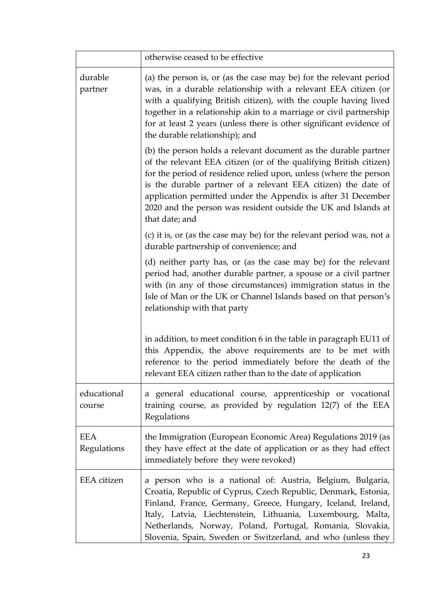|                           | otherwise ceased to be effective                                                                                                                                                                                                                                                                                                                                                                                                 |
|---------------------------|----------------------------------------------------------------------------------------------------------------------------------------------------------------------------------------------------------------------------------------------------------------------------------------------------------------------------------------------------------------------------------------------------------------------------------|
| durable<br>partner        | (a) the person is, or (as the case may be) for the relevant period<br>was, in a durable relationship with a relevant EEA citizen (or<br>with a qualifying British citizen), with the couple having lived<br>together in a relationship akin to a marriage or civil partnership<br>for at least 2 years (unless there is other significant evidence of<br>the durable relationship); and                                          |
|                           | (b) the person holds a relevant document as the durable partner<br>of the relevant EEA citizen (or of the qualifying British citizen)<br>for the period of residence relied upon, unless (where the person<br>is the durable partner of a relevant EEA citizen) the date of<br>application permitted under the Appendix is after 31 December<br>2020 and the person was resident outside the UK and Islands at<br>that date; and |
|                           | (c) it is, or (as the case may be) for the relevant period was, not a<br>durable partnership of convenience; and                                                                                                                                                                                                                                                                                                                 |
|                           | (d) neither party has, or (as the case may be) for the relevant<br>period had, another durable partner, a spouse or a civil partner<br>with (in any of those circumstances) immigration status in the<br>Isle of Man or the UK or Channel Islands based on that person's<br>relationship with that party                                                                                                                         |
|                           | in addition, to meet condition 6 in the table in paragraph EU11 of<br>this Appendix, the above requirements are to be met with<br>reference to the period immediately before the death of the<br>relevant EEA citizen rather than to the date of application                                                                                                                                                                     |
| educational<br>course     | a general educational course, apprenticeship or vocational<br>training course, as provided by regulation 12(7) of the EEA<br>Regulations                                                                                                                                                                                                                                                                                         |
| <b>EEA</b><br>Regulations | the Immigration (European Economic Area) Regulations 2019 (as<br>they have effect at the date of application or as they had effect<br>immediately before they were revoked)                                                                                                                                                                                                                                                      |
| EEA citizen               | a person who is a national of: Austria, Belgium, Bulgaria,<br>Croatia, Republic of Cyprus, Czech Republic, Denmark, Estonia,<br>Finland, France, Germany, Greece, Hungary, Iceland, Ireland,<br>Italy, Latvia, Liechtenstein, Lithuania, Luxembourg, Malta,<br>Netherlands, Norway, Poland, Portugal, Romania, Slovakia,<br>Slovenia, Spain, Sweden or Switzerland, and who (unless they                                         |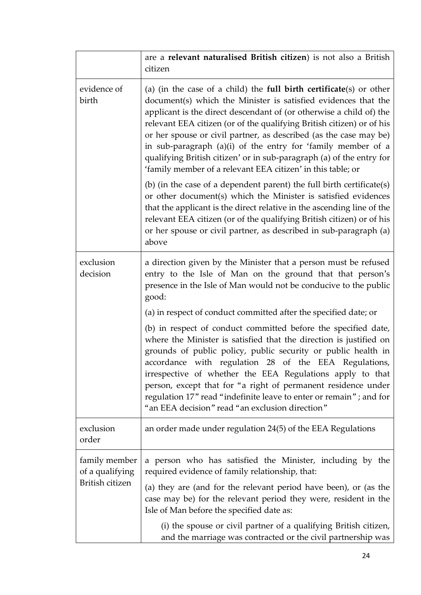|                                                     | are a relevant naturalised British citizen) is not also a British<br>citizen                                                                                                                                                                                                                                                                                                                                                                                                                                                                                                              |
|-----------------------------------------------------|-------------------------------------------------------------------------------------------------------------------------------------------------------------------------------------------------------------------------------------------------------------------------------------------------------------------------------------------------------------------------------------------------------------------------------------------------------------------------------------------------------------------------------------------------------------------------------------------|
| evidence of<br>birth                                | (a) (in the case of a child) the <b>full birth certificate</b> (s) or other<br>document(s) which the Minister is satisfied evidences that the<br>applicant is the direct descendant of (or otherwise a child of) the<br>relevant EEA citizen (or of the qualifying British citizen) or of his<br>or her spouse or civil partner, as described (as the case may be)<br>in sub-paragraph (a)(i) of the entry for 'family member of a<br>qualifying British citizen' or in sub-paragraph (a) of the entry for<br>'family member of a relevant EEA citizen' in this table; or                 |
|                                                     | (b) (in the case of a dependent parent) the full birth certificate(s)<br>or other document(s) which the Minister is satisfied evidences<br>that the applicant is the direct relative in the ascending line of the<br>relevant EEA citizen (or of the qualifying British citizen) or of his<br>or her spouse or civil partner, as described in sub-paragraph (a)<br>above                                                                                                                                                                                                                  |
| exclusion<br>decision                               | a direction given by the Minister that a person must be refused<br>entry to the Isle of Man on the ground that that person's<br>presence in the Isle of Man would not be conducive to the public<br>good:                                                                                                                                                                                                                                                                                                                                                                                 |
|                                                     | (a) in respect of conduct committed after the specified date; or<br>(b) in respect of conduct committed before the specified date,<br>where the Minister is satisfied that the direction is justified on<br>grounds of public policy, public security or public health in<br>accordance with regulation 28 of the EEA Regulations,<br>irrespective of whether the EEA Regulations apply to that<br>person, except that for "a right of permanent residence under<br>regulation 17" read "indefinite leave to enter or remain"; and for<br>"an EEA decision" read "an exclusion direction" |
| exclusion<br>order                                  | an order made under regulation 24(5) of the EEA Regulations                                                                                                                                                                                                                                                                                                                                                                                                                                                                                                                               |
| family member<br>of a qualifying<br>British citizen | a person who has satisfied the Minister, including by the<br>required evidence of family relationship, that:<br>(a) they are (and for the relevant period have been), or (as the<br>case may be) for the relevant period they were, resident in the<br>Isle of Man before the specified date as:<br>(i) the spouse or civil partner of a qualifying British citizen,                                                                                                                                                                                                                      |
|                                                     | and the marriage was contracted or the civil partnership was                                                                                                                                                                                                                                                                                                                                                                                                                                                                                                                              |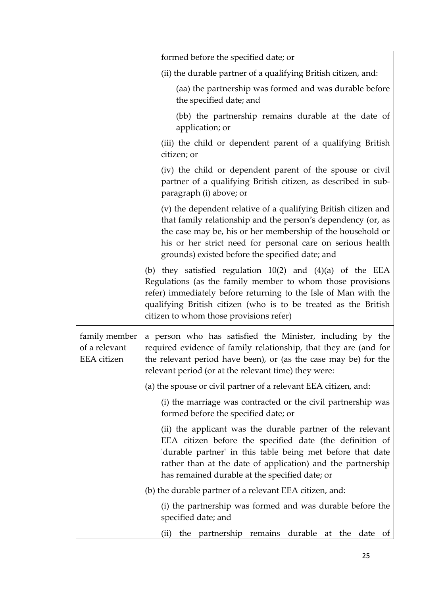|                                                      | formed before the specified date; or                                                                                                                                                                                                                                                                          |
|------------------------------------------------------|---------------------------------------------------------------------------------------------------------------------------------------------------------------------------------------------------------------------------------------------------------------------------------------------------------------|
|                                                      | (ii) the durable partner of a qualifying British citizen, and:                                                                                                                                                                                                                                                |
|                                                      | (aa) the partnership was formed and was durable before<br>the specified date; and                                                                                                                                                                                                                             |
|                                                      | (bb) the partnership remains durable at the date of<br>application; or                                                                                                                                                                                                                                        |
|                                                      | (iii) the child or dependent parent of a qualifying British<br>citizen; or                                                                                                                                                                                                                                    |
|                                                      | (iv) the child or dependent parent of the spouse or civil<br>partner of a qualifying British citizen, as described in sub-<br>paragraph (i) above; or                                                                                                                                                         |
|                                                      | (v) the dependent relative of a qualifying British citizen and<br>that family relationship and the person's dependency (or, as<br>the case may be, his or her membership of the household or<br>his or her strict need for personal care on serious health<br>grounds) existed before the specified date; and |
|                                                      | (b) they satisfied regulation $10(2)$ and $(4)(a)$ of the EEA<br>Regulations (as the family member to whom those provisions<br>refer) immediately before returning to the Isle of Man with the<br>qualifying British citizen (who is to be treated as the British<br>citizen to whom those provisions refer)  |
| family member<br>of a relevant<br><b>EEA</b> citizen | a person who has satisfied the Minister, including by the<br>required evidence of family relationship, that they are (and for<br>the relevant period have been), or (as the case may be) for the<br>relevant period (or at the relevant time) they were:                                                      |
|                                                      | (a) the spouse or civil partner of a relevant EEA citizen, and:                                                                                                                                                                                                                                               |
|                                                      | (i) the marriage was contracted or the civil partnership was<br>formed before the specified date; or                                                                                                                                                                                                          |
|                                                      | (ii) the applicant was the durable partner of the relevant<br>EEA citizen before the specified date (the definition of<br>'durable partner' in this table being met before that date<br>rather than at the date of application) and the partnership<br>has remained durable at the specified date; or         |
|                                                      | (b) the durable partner of a relevant EEA citizen, and:                                                                                                                                                                                                                                                       |
|                                                      | (i) the partnership was formed and was durable before the<br>specified date; and                                                                                                                                                                                                                              |
|                                                      | partnership remains durable at the date<br>the<br>of<br>(ii)                                                                                                                                                                                                                                                  |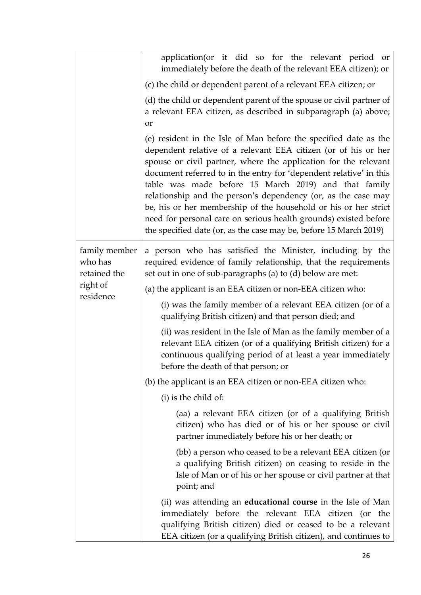|                                          | application(or it did so for the relevant period or<br>immediately before the death of the relevant EEA citizen); or                                                                                                                                                                                                                                                                                                                                                                                                                                                                                             |
|------------------------------------------|------------------------------------------------------------------------------------------------------------------------------------------------------------------------------------------------------------------------------------------------------------------------------------------------------------------------------------------------------------------------------------------------------------------------------------------------------------------------------------------------------------------------------------------------------------------------------------------------------------------|
|                                          | (c) the child or dependent parent of a relevant EEA citizen; or                                                                                                                                                                                                                                                                                                                                                                                                                                                                                                                                                  |
|                                          | (d) the child or dependent parent of the spouse or civil partner of<br>a relevant EEA citizen, as described in subparagraph (a) above;<br>or                                                                                                                                                                                                                                                                                                                                                                                                                                                                     |
|                                          | (e) resident in the Isle of Man before the specified date as the<br>dependent relative of a relevant EEA citizen (or of his or her<br>spouse or civil partner, where the application for the relevant<br>document referred to in the entry for 'dependent relative' in this<br>table was made before 15 March 2019) and that family<br>relationship and the person's dependency (or, as the case may<br>be, his or her membership of the household or his or her strict<br>need for personal care on serious health grounds) existed before<br>the specified date (or, as the case may be, before 15 March 2019) |
| family member<br>who has<br>retained the | a person who has satisfied the Minister, including by the<br>required evidence of family relationship, that the requirements<br>set out in one of sub-paragraphs (a) to (d) below are met:                                                                                                                                                                                                                                                                                                                                                                                                                       |
| right of                                 | (a) the applicant is an EEA citizen or non-EEA citizen who:                                                                                                                                                                                                                                                                                                                                                                                                                                                                                                                                                      |
| residence                                | (i) was the family member of a relevant EEA citizen (or of a<br>qualifying British citizen) and that person died; and                                                                                                                                                                                                                                                                                                                                                                                                                                                                                            |
|                                          | (ii) was resident in the Isle of Man as the family member of a<br>relevant EEA citizen (or of a qualifying British citizen) for a<br>continuous qualifying period of at least a year immediately<br>before the death of that person; or                                                                                                                                                                                                                                                                                                                                                                          |
|                                          | (b) the applicant is an EEA citizen or non-EEA citizen who:                                                                                                                                                                                                                                                                                                                                                                                                                                                                                                                                                      |
|                                          | (i) is the child of:                                                                                                                                                                                                                                                                                                                                                                                                                                                                                                                                                                                             |
|                                          | (aa) a relevant EEA citizen (or of a qualifying British<br>citizen) who has died or of his or her spouse or civil<br>partner immediately before his or her death; or                                                                                                                                                                                                                                                                                                                                                                                                                                             |
|                                          | (bb) a person who ceased to be a relevant EEA citizen (or<br>a qualifying British citizen) on ceasing to reside in the<br>Isle of Man or of his or her spouse or civil partner at that<br>point; and                                                                                                                                                                                                                                                                                                                                                                                                             |
|                                          | (ii) was attending an <b>educational course</b> in the Isle of Man<br>immediately before the relevant EEA citizen (or the<br>qualifying British citizen) died or ceased to be a relevant<br>EEA citizen (or a qualifying British citizen), and continues to                                                                                                                                                                                                                                                                                                                                                      |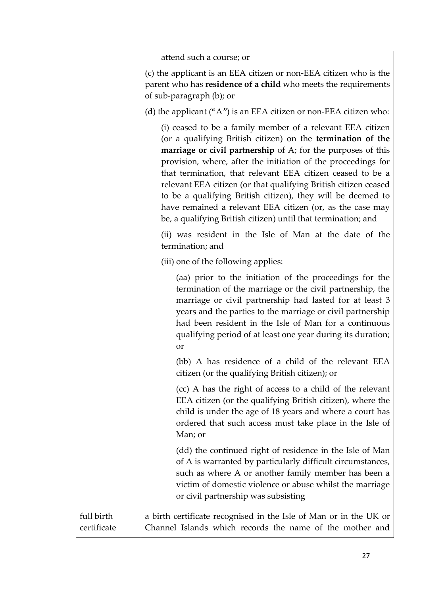|                           | attend such a course; or                                                                                                                                                                                                                                                                                                                                                                                                                                                                                                                                                                 |
|---------------------------|------------------------------------------------------------------------------------------------------------------------------------------------------------------------------------------------------------------------------------------------------------------------------------------------------------------------------------------------------------------------------------------------------------------------------------------------------------------------------------------------------------------------------------------------------------------------------------------|
|                           | (c) the applicant is an EEA citizen or non-EEA citizen who is the<br>parent who has residence of a child who meets the requirements<br>of sub-paragraph (b); or                                                                                                                                                                                                                                                                                                                                                                                                                          |
|                           | (d) the applicant ("A") is an EEA citizen or non-EEA citizen who:                                                                                                                                                                                                                                                                                                                                                                                                                                                                                                                        |
|                           | (i) ceased to be a family member of a relevant EEA citizen<br>(or a qualifying British citizen) on the termination of the<br>marriage or civil partnership of A; for the purposes of this<br>provision, where, after the initiation of the proceedings for<br>that termination, that relevant EEA citizen ceased to be a<br>relevant EEA citizen (or that qualifying British citizen ceased<br>to be a qualifying British citizen), they will be deemed to<br>have remained a relevant EEA citizen (or, as the case may<br>be, a qualifying British citizen) until that termination; and |
|                           | (ii) was resident in the Isle of Man at the date of the<br>termination; and                                                                                                                                                                                                                                                                                                                                                                                                                                                                                                              |
|                           | (iii) one of the following applies:                                                                                                                                                                                                                                                                                                                                                                                                                                                                                                                                                      |
|                           | (aa) prior to the initiation of the proceedings for the<br>termination of the marriage or the civil partnership, the<br>marriage or civil partnership had lasted for at least 3<br>years and the parties to the marriage or civil partnership<br>had been resident in the Isle of Man for a continuous<br>qualifying period of at least one year during its duration;<br>or                                                                                                                                                                                                              |
|                           | (bb) A has residence of a child of the relevant EEA<br>citizen (or the qualifying British citizen); or                                                                                                                                                                                                                                                                                                                                                                                                                                                                                   |
|                           | (cc) A has the right of access to a child of the relevant<br>EEA citizen (or the qualifying British citizen), where the<br>child is under the age of 18 years and where a court has<br>ordered that such access must take place in the Isle of<br>Man; or                                                                                                                                                                                                                                                                                                                                |
|                           | (dd) the continued right of residence in the Isle of Man<br>of A is warranted by particularly difficult circumstances,<br>such as where A or another family member has been a<br>victim of domestic violence or abuse whilst the marriage<br>or civil partnership was subsisting                                                                                                                                                                                                                                                                                                         |
| full birth<br>certificate | a birth certificate recognised in the Isle of Man or in the UK or<br>Channel Islands which records the name of the mother and                                                                                                                                                                                                                                                                                                                                                                                                                                                            |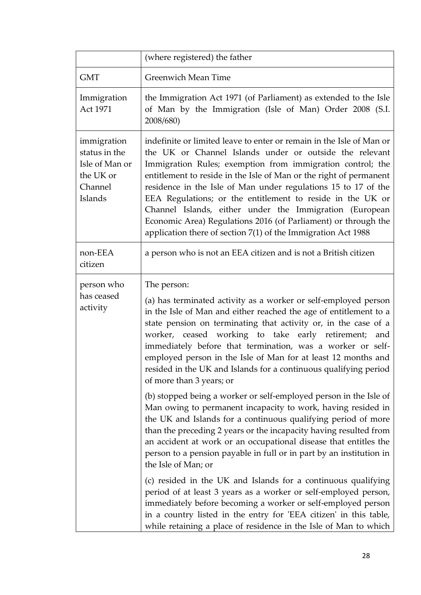|                                                                                   | (where registered) the father                                                                                                                                                                                                                                                                                                                                                                                                                                                                                                                                                                       |
|-----------------------------------------------------------------------------------|-----------------------------------------------------------------------------------------------------------------------------------------------------------------------------------------------------------------------------------------------------------------------------------------------------------------------------------------------------------------------------------------------------------------------------------------------------------------------------------------------------------------------------------------------------------------------------------------------------|
| <b>GMT</b>                                                                        | <b>Greenwich Mean Time</b>                                                                                                                                                                                                                                                                                                                                                                                                                                                                                                                                                                          |
| Immigration<br>Act 1971                                                           | the Immigration Act 1971 (of Parliament) as extended to the Isle<br>of Man by the Immigration (Isle of Man) Order 2008 (S.I.<br>2008/680)                                                                                                                                                                                                                                                                                                                                                                                                                                                           |
| immigration<br>status in the<br>Isle of Man or<br>the UK or<br>Channel<br>Islands | indefinite or limited leave to enter or remain in the Isle of Man or<br>the UK or Channel Islands under or outside the relevant<br>Immigration Rules; exemption from immigration control; the<br>entitlement to reside in the Isle of Man or the right of permanent<br>residence in the Isle of Man under regulations 15 to 17 of the<br>EEA Regulations; or the entitlement to reside in the UK or<br>Channel Islands, either under the Immigration (European<br>Economic Area) Regulations 2016 (of Parliament) or through the<br>application there of section $7(1)$ of the Immigration Act 1988 |
| non-EEA<br>citizen                                                                | a person who is not an EEA citizen and is not a British citizen                                                                                                                                                                                                                                                                                                                                                                                                                                                                                                                                     |
| person who<br>has ceased<br>activity                                              | The person:<br>(a) has terminated activity as a worker or self-employed person<br>in the Isle of Man and either reached the age of entitlement to a<br>state pension on terminating that activity or, in the case of a<br>worker, ceased working to take early retirement;<br>and<br>immediately before that termination, was a worker or self-<br>employed person in the Isle of Man for at least 12 months and<br>resided in the UK and Islands for a continuous qualifying period<br>of more than 3 years; or                                                                                    |
|                                                                                   | (b) stopped being a worker or self-employed person in the Isle of<br>Man owing to permanent incapacity to work, having resided in<br>the UK and Islands for a continuous qualifying period of more<br>than the preceding 2 years or the incapacity having resulted from<br>an accident at work or an occupational disease that entitles the<br>person to a pension payable in full or in part by an institution in<br>the Isle of Man; or<br>(c) resided in the UK and Islands for a continuous qualifying                                                                                          |
|                                                                                   | period of at least 3 years as a worker or self-employed person,<br>immediately before becoming a worker or self-employed person<br>in a country listed in the entry for 'EEA citizen' in this table,<br>while retaining a place of residence in the Isle of Man to which                                                                                                                                                                                                                                                                                                                            |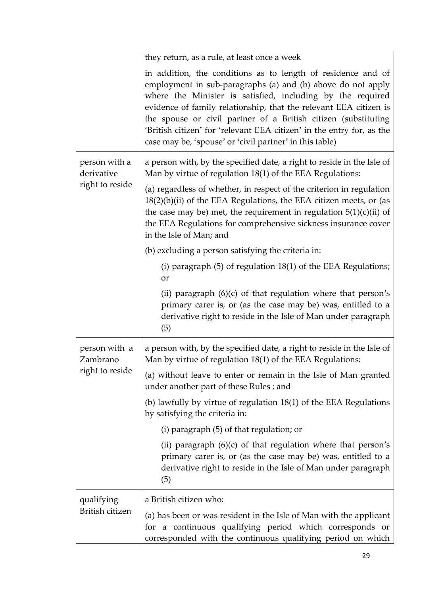|                                                | they return, as a rule, at least once a week                                                                                                                                                                                                                                                                                                                                                                                                                         |
|------------------------------------------------|----------------------------------------------------------------------------------------------------------------------------------------------------------------------------------------------------------------------------------------------------------------------------------------------------------------------------------------------------------------------------------------------------------------------------------------------------------------------|
|                                                | in addition, the conditions as to length of residence and of<br>employment in sub-paragraphs (a) and (b) above do not apply<br>where the Minister is satisfied, including by the required<br>evidence of family relationship, that the relevant EEA citizen is<br>the spouse or civil partner of a British citizen (substituting<br>'British citizen' for 'relevant EEA citizen' in the entry for, as the<br>case may be, 'spouse' or 'civil partner' in this table) |
| person with a<br>derivative<br>right to reside | a person with, by the specified date, a right to reside in the Isle of<br>Man by virtue of regulation 18(1) of the EEA Regulations:                                                                                                                                                                                                                                                                                                                                  |
|                                                | (a) regardless of whether, in respect of the criterion in regulation<br>18(2)(b)(ii) of the EEA Regulations, the EEA citizen meets, or (as<br>the case may be) met, the requirement in regulation $5(1)(c)(ii)$ of<br>the EEA Regulations for comprehensive sickness insurance cover<br>in the Isle of Man; and                                                                                                                                                      |
|                                                | (b) excluding a person satisfying the criteria in:                                                                                                                                                                                                                                                                                                                                                                                                                   |
|                                                | (i) paragraph $(5)$ of regulation 18 $(1)$ of the EEA Regulations;<br>or                                                                                                                                                                                                                                                                                                                                                                                             |
|                                                | (ii) paragraph $(6)(c)$ of that regulation where that person's<br>primary carer is, or (as the case may be) was, entitled to a<br>derivative right to reside in the Isle of Man under paragraph<br>(5)                                                                                                                                                                                                                                                               |
| person with a<br>Zambrano                      | a person with, by the specified date, a right to reside in the Isle of<br>Man by virtue of regulation 18(1) of the EEA Regulations:                                                                                                                                                                                                                                                                                                                                  |
| right to reside                                | (a) without leave to enter or remain in the Isle of Man granted<br>under another part of these Rules; and                                                                                                                                                                                                                                                                                                                                                            |
|                                                | (b) lawfully by virtue of regulation $18(1)$ of the EEA Regulations<br>by satisfying the criteria in:                                                                                                                                                                                                                                                                                                                                                                |
|                                                | (i) paragraph (5) of that regulation; or                                                                                                                                                                                                                                                                                                                                                                                                                             |
|                                                | (ii) paragraph (6)(c) of that regulation where that person's<br>primary carer is, or (as the case may be) was, entitled to a<br>derivative right to reside in the Isle of Man under paragraph<br>(5)                                                                                                                                                                                                                                                                 |
| qualifying                                     | a British citizen who:                                                                                                                                                                                                                                                                                                                                                                                                                                               |
| British citizen                                | (a) has been or was resident in the Isle of Man with the applicant<br>for a continuous qualifying period which corresponds or<br>corresponded with the continuous qualifying period on which                                                                                                                                                                                                                                                                         |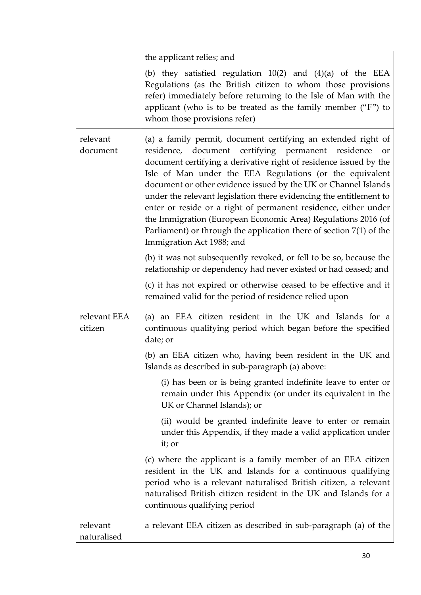|                         | the applicant relies; and                                                                                                                                                                                                                                                                                                                                                                                                                                                                                                                                                                                                                           |
|-------------------------|-----------------------------------------------------------------------------------------------------------------------------------------------------------------------------------------------------------------------------------------------------------------------------------------------------------------------------------------------------------------------------------------------------------------------------------------------------------------------------------------------------------------------------------------------------------------------------------------------------------------------------------------------------|
|                         | (b) they satisfied regulation $10(2)$ and $(4)(a)$ of the EEA<br>Regulations (as the British citizen to whom those provisions<br>refer) immediately before returning to the Isle of Man with the<br>applicant (who is to be treated as the family member $(\mathrm{``F''})$ to<br>whom those provisions refer)                                                                                                                                                                                                                                                                                                                                      |
| relevant<br>document    | (a) a family permit, document certifying an extended right of<br>residence, document certifying permanent residence<br><b>or</b><br>document certifying a derivative right of residence issued by the<br>Isle of Man under the EEA Regulations (or the equivalent<br>document or other evidence issued by the UK or Channel Islands<br>under the relevant legislation there evidencing the entitlement to<br>enter or reside or a right of permanent residence, either under<br>the Immigration (European Economic Area) Regulations 2016 (of<br>Parliament) or through the application there of section $7(1)$ of the<br>Immigration Act 1988; and |
|                         | (b) it was not subsequently revoked, or fell to be so, because the<br>relationship or dependency had never existed or had ceased; and                                                                                                                                                                                                                                                                                                                                                                                                                                                                                                               |
|                         | (c) it has not expired or otherwise ceased to be effective and it<br>remained valid for the period of residence relied upon                                                                                                                                                                                                                                                                                                                                                                                                                                                                                                                         |
| relevant EEA<br>citizen | (a) an EEA citizen resident in the UK and Islands for a<br>continuous qualifying period which began before the specified<br>date; or                                                                                                                                                                                                                                                                                                                                                                                                                                                                                                                |
|                         | (b) an EEA citizen who, having been resident in the UK and<br>Islands as described in sub-paragraph (a) above:                                                                                                                                                                                                                                                                                                                                                                                                                                                                                                                                      |
|                         | (i) has been or is being granted indefinite leave to enter or<br>remain under this Appendix (or under its equivalent in the<br>UK or Channel Islands); or                                                                                                                                                                                                                                                                                                                                                                                                                                                                                           |
|                         | (ii) would be granted indefinite leave to enter or remain<br>under this Appendix, if they made a valid application under<br>it; or                                                                                                                                                                                                                                                                                                                                                                                                                                                                                                                  |
|                         | (c) where the applicant is a family member of an EEA citizen<br>resident in the UK and Islands for a continuous qualifying<br>period who is a relevant naturalised British citizen, a relevant<br>naturalised British citizen resident in the UK and Islands for a<br>continuous qualifying period                                                                                                                                                                                                                                                                                                                                                  |
| relevant<br>naturalised | a relevant EEA citizen as described in sub-paragraph (a) of the                                                                                                                                                                                                                                                                                                                                                                                                                                                                                                                                                                                     |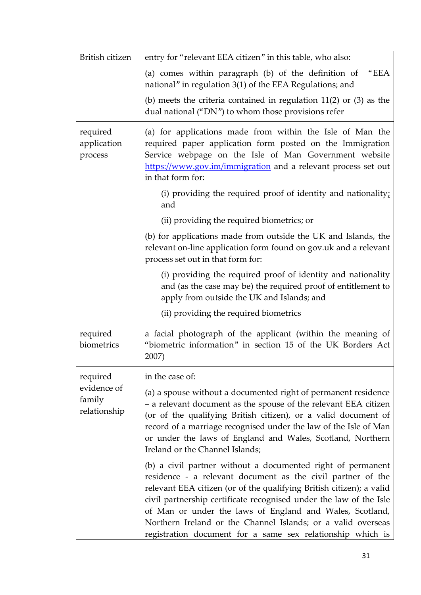| British citizen                       | entry for "relevant EEA citizen" in this table, who also:                                                                                                                                                                                                                                                                                                                                                                                                          |
|---------------------------------------|--------------------------------------------------------------------------------------------------------------------------------------------------------------------------------------------------------------------------------------------------------------------------------------------------------------------------------------------------------------------------------------------------------------------------------------------------------------------|
|                                       | (a) comes within paragraph (b) of the definition of<br>"EEA<br>national" in regulation 3(1) of the EEA Regulations; and                                                                                                                                                                                                                                                                                                                                            |
|                                       | (b) meets the criteria contained in regulation $11(2)$ or $(3)$ as the<br>dual national ("DN") to whom those provisions refer                                                                                                                                                                                                                                                                                                                                      |
| required<br>application<br>process    | (a) for applications made from within the Isle of Man the<br>required paper application form posted on the Immigration<br>Service webpage on the Isle of Man Government website<br>https://www.gov.im/immigration and a relevant process set out<br>in that form for:                                                                                                                                                                                              |
|                                       | (i) providing the required proof of identity and nationality;<br>and                                                                                                                                                                                                                                                                                                                                                                                               |
|                                       | (ii) providing the required biometrics; or                                                                                                                                                                                                                                                                                                                                                                                                                         |
|                                       | (b) for applications made from outside the UK and Islands, the<br>relevant on-line application form found on gov.uk and a relevant<br>process set out in that form for:                                                                                                                                                                                                                                                                                            |
|                                       | (i) providing the required proof of identity and nationality<br>and (as the case may be) the required proof of entitlement to<br>apply from outside the UK and Islands; and                                                                                                                                                                                                                                                                                        |
|                                       | (ii) providing the required biometrics                                                                                                                                                                                                                                                                                                                                                                                                                             |
| required<br>biometrics                | a facial photograph of the applicant (within the meaning of<br>"biometric information" in section 15 of the UK Borders Act<br>2007)                                                                                                                                                                                                                                                                                                                                |
| required                              | in the case of:                                                                                                                                                                                                                                                                                                                                                                                                                                                    |
| evidence of<br>family<br>relationship | (a) a spouse without a documented right of permanent residence<br>- a relevant document as the spouse of the relevant EEA citizen<br>(or of the qualifying British citizen), or a valid document of<br>record of a marriage recognised under the law of the Isle of Man<br>or under the laws of England and Wales, Scotland, Northern<br>Ireland or the Channel Islands;                                                                                           |
|                                       | (b) a civil partner without a documented right of permanent<br>residence - a relevant document as the civil partner of the<br>relevant EEA citizen (or of the qualifying British citizen); a valid<br>civil partnership certificate recognised under the law of the Isle<br>of Man or under the laws of England and Wales, Scotland,<br>Northern Ireland or the Channel Islands; or a valid overseas<br>registration document for a same sex relationship which is |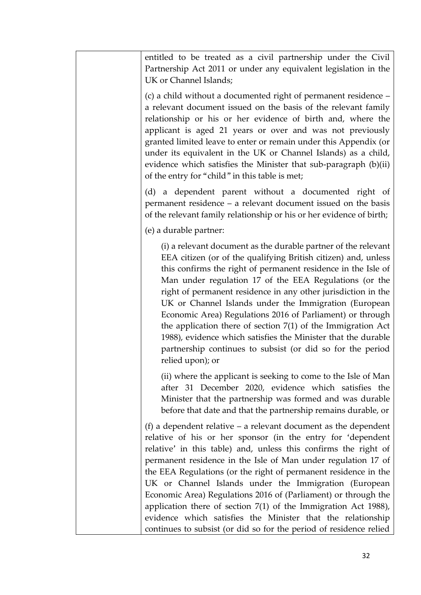| entitled to be treated as a civil partnership under the Civil<br>Partnership Act 2011 or under any equivalent legislation in the<br>UK or Channel Islands;                                                                                                                                                                                                                                                                                                                                                                                                                                                                                                                   |
|------------------------------------------------------------------------------------------------------------------------------------------------------------------------------------------------------------------------------------------------------------------------------------------------------------------------------------------------------------------------------------------------------------------------------------------------------------------------------------------------------------------------------------------------------------------------------------------------------------------------------------------------------------------------------|
| (c) a child without a documented right of permanent residence –<br>a relevant document issued on the basis of the relevant family<br>relationship or his or her evidence of birth and, where the<br>applicant is aged 21 years or over and was not previously<br>granted limited leave to enter or remain under this Appendix (or<br>under its equivalent in the UK or Channel Islands) as a child,<br>evidence which satisfies the Minister that sub-paragraph (b)(ii)<br>of the entry for "child" in this table is met;                                                                                                                                                    |
| (d) a dependent parent without a documented right of<br>permanent residence – a relevant document issued on the basis<br>of the relevant family relationship or his or her evidence of birth;                                                                                                                                                                                                                                                                                                                                                                                                                                                                                |
| (e) a durable partner:                                                                                                                                                                                                                                                                                                                                                                                                                                                                                                                                                                                                                                                       |
| (i) a relevant document as the durable partner of the relevant<br>EEA citizen (or of the qualifying British citizen) and, unless<br>this confirms the right of permanent residence in the Isle of<br>Man under regulation 17 of the EEA Regulations (or the<br>right of permanent residence in any other jurisdiction in the<br>UK or Channel Islands under the Immigration (European<br>Economic Area) Regulations 2016 of Parliament) or through<br>the application there of section $7(1)$ of the Immigration Act<br>1988), evidence which satisfies the Minister that the durable<br>partnership continues to subsist (or did so for the period<br>relied upon); or      |
| (ii) where the applicant is seeking to come to the Isle of Man<br>after 31 December 2020, evidence which satisfies the<br>Minister that the partnership was formed and was durable<br>before that date and that the partnership remains durable, or                                                                                                                                                                                                                                                                                                                                                                                                                          |
| (f) a dependent relative $-$ a relevant document as the dependent<br>relative of his or her sponsor (in the entry for 'dependent<br>relative' in this table) and, unless this confirms the right of<br>permanent residence in the Isle of Man under regulation 17 of<br>the EEA Regulations (or the right of permanent residence in the<br>UK or Channel Islands under the Immigration (European<br>Economic Area) Regulations 2016 of (Parliament) or through the<br>application there of section $7(1)$ of the Immigration Act 1988),<br>evidence which satisfies the Minister that the relationship<br>continues to subsist (or did so for the period of residence relied |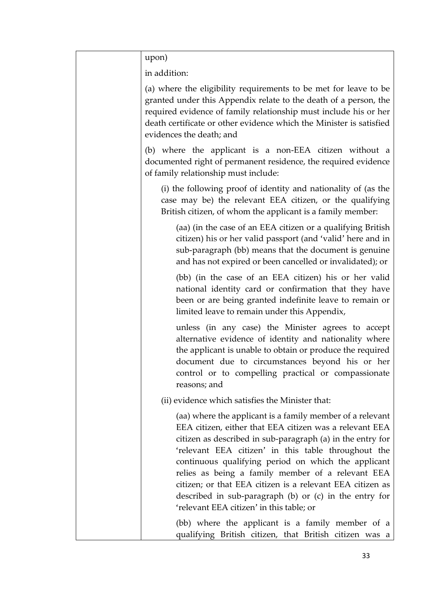| upon)                                                                                                                                                                                                                                                                                                                                                                                                                                                                                                                        |
|------------------------------------------------------------------------------------------------------------------------------------------------------------------------------------------------------------------------------------------------------------------------------------------------------------------------------------------------------------------------------------------------------------------------------------------------------------------------------------------------------------------------------|
| in addition:                                                                                                                                                                                                                                                                                                                                                                                                                                                                                                                 |
| (a) where the eligibility requirements to be met for leave to be<br>granted under this Appendix relate to the death of a person, the<br>required evidence of family relationship must include his or her<br>death certificate or other evidence which the Minister is satisfied<br>evidences the death; and                                                                                                                                                                                                                  |
| (b) where the applicant is a non-EEA citizen without a<br>documented right of permanent residence, the required evidence<br>of family relationship must include:                                                                                                                                                                                                                                                                                                                                                             |
| (i) the following proof of identity and nationality of (as the<br>case may be) the relevant EEA citizen, or the qualifying<br>British citizen, of whom the applicant is a family member:                                                                                                                                                                                                                                                                                                                                     |
| (aa) (in the case of an EEA citizen or a qualifying British<br>citizen) his or her valid passport (and 'valid' here and in<br>sub-paragraph (bb) means that the document is genuine<br>and has not expired or been cancelled or invalidated); or                                                                                                                                                                                                                                                                             |
| (bb) (in the case of an EEA citizen) his or her valid<br>national identity card or confirmation that they have<br>been or are being granted indefinite leave to remain or<br>limited leave to remain under this Appendix,                                                                                                                                                                                                                                                                                                    |
| unless (in any case) the Minister agrees to accept<br>alternative evidence of identity and nationality where<br>the applicant is unable to obtain or produce the required<br>document due to circumstances beyond his or her<br>control or to compelling practical or compassionate<br>reasons; and                                                                                                                                                                                                                          |
| (ii) evidence which satisfies the Minister that:                                                                                                                                                                                                                                                                                                                                                                                                                                                                             |
| (aa) where the applicant is a family member of a relevant<br>EEA citizen, either that EEA citizen was a relevant EEA<br>citizen as described in sub-paragraph (a) in the entry for<br>'relevant EEA citizen' in this table throughout the<br>continuous qualifying period on which the applicant<br>relies as being a family member of a relevant EEA<br>citizen; or that EEA citizen is a relevant EEA citizen as<br>described in sub-paragraph $(b)$ or $(c)$ in the entry for<br>'relevant EEA citizen' in this table; or |
| (bb) where the applicant is a family member of a<br>qualifying British citizen, that British citizen was a                                                                                                                                                                                                                                                                                                                                                                                                                   |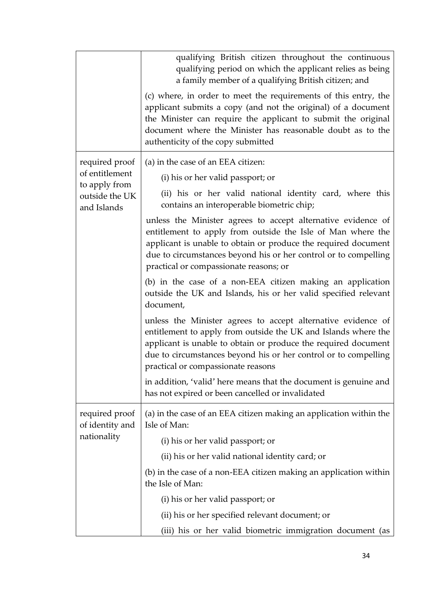|                                   | qualifying British citizen throughout the continuous<br>qualifying period on which the applicant relies as being<br>a family member of a qualifying British citizen; and<br>(c) where, in order to meet the requirements of this entry, the<br>applicant submits a copy (and not the original) of a document<br>the Minister can require the applicant to submit the original<br>document where the Minister has reasonable doubt as to the<br>authenticity of the copy submitted |
|-----------------------------------|-----------------------------------------------------------------------------------------------------------------------------------------------------------------------------------------------------------------------------------------------------------------------------------------------------------------------------------------------------------------------------------------------------------------------------------------------------------------------------------|
| required proof                    | (a) in the case of an EEA citizen:                                                                                                                                                                                                                                                                                                                                                                                                                                                |
| of entitlement<br>to apply from   | (i) his or her valid passport; or                                                                                                                                                                                                                                                                                                                                                                                                                                                 |
| outside the UK<br>and Islands     | (ii) his or her valid national identity card, where this<br>contains an interoperable biometric chip;                                                                                                                                                                                                                                                                                                                                                                             |
|                                   | unless the Minister agrees to accept alternative evidence of<br>entitlement to apply from outside the Isle of Man where the<br>applicant is unable to obtain or produce the required document<br>due to circumstances beyond his or her control or to compelling<br>practical or compassionate reasons; or                                                                                                                                                                        |
|                                   | (b) in the case of a non-EEA citizen making an application<br>outside the UK and Islands, his or her valid specified relevant<br>document,                                                                                                                                                                                                                                                                                                                                        |
|                                   | unless the Minister agrees to accept alternative evidence of<br>entitlement to apply from outside the UK and Islands where the<br>applicant is unable to obtain or produce the required document<br>due to circumstances beyond his or her control or to compelling<br>practical or compassionate reasons                                                                                                                                                                         |
|                                   | in addition, 'valid' here means that the document is genuine and<br>has not expired or been cancelled or invalidated                                                                                                                                                                                                                                                                                                                                                              |
| required proof<br>of identity and | (a) in the case of an EEA citizen making an application within the<br>Isle of Man:                                                                                                                                                                                                                                                                                                                                                                                                |
| nationality                       | (i) his or her valid passport; or                                                                                                                                                                                                                                                                                                                                                                                                                                                 |
|                                   | (ii) his or her valid national identity card; or                                                                                                                                                                                                                                                                                                                                                                                                                                  |
|                                   | (b) in the case of a non-EEA citizen making an application within<br>the Isle of Man:                                                                                                                                                                                                                                                                                                                                                                                             |
|                                   | (i) his or her valid passport; or                                                                                                                                                                                                                                                                                                                                                                                                                                                 |
|                                   | (ii) his or her specified relevant document; or                                                                                                                                                                                                                                                                                                                                                                                                                                   |
|                                   | (iii) his or her valid biometric immigration document (as                                                                                                                                                                                                                                                                                                                                                                                                                         |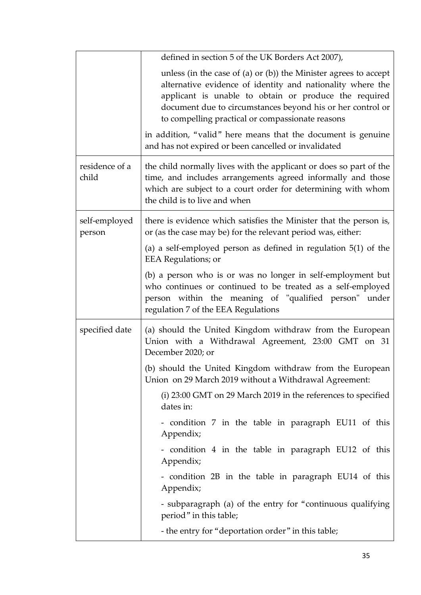|                         | defined in section 5 of the UK Borders Act 2007),                                                                                                                                                                                                                                                                                                                                                                                 |
|-------------------------|-----------------------------------------------------------------------------------------------------------------------------------------------------------------------------------------------------------------------------------------------------------------------------------------------------------------------------------------------------------------------------------------------------------------------------------|
|                         | unless (in the case of (a) or (b)) the Minister agrees to accept<br>alternative evidence of identity and nationality where the<br>applicant is unable to obtain or produce the required<br>document due to circumstances beyond his or her control or<br>to compelling practical or compassionate reasons<br>in addition, "valid" here means that the document is genuine<br>and has not expired or been cancelled or invalidated |
| residence of a<br>child | the child normally lives with the applicant or does so part of the<br>time, and includes arrangements agreed informally and those<br>which are subject to a court order for determining with whom<br>the child is to live and when                                                                                                                                                                                                |
| self-employed<br>person | there is evidence which satisfies the Minister that the person is,<br>or (as the case may be) for the relevant period was, either:                                                                                                                                                                                                                                                                                                |
|                         | (a) a self-employed person as defined in regulation $5(1)$ of the<br><b>EEA</b> Regulations; or                                                                                                                                                                                                                                                                                                                                   |
|                         | (b) a person who is or was no longer in self-employment but<br>who continues or continued to be treated as a self-employed<br>person within the meaning of "qualified person" under<br>regulation 7 of the EEA Regulations                                                                                                                                                                                                        |
| specified date          | (a) should the United Kingdom withdraw from the European<br>Union with a Withdrawal Agreement, 23:00 GMT on 31<br>December 2020; or                                                                                                                                                                                                                                                                                               |
|                         | (b) should the United Kingdom withdraw from the European<br>Union on 29 March 2019 without a Withdrawal Agreement:                                                                                                                                                                                                                                                                                                                |
|                         | (i) 23:00 GMT on 29 March 2019 in the references to specified<br>dates in:                                                                                                                                                                                                                                                                                                                                                        |
|                         | - condition 7 in the table in paragraph EU11 of this<br>Appendix;                                                                                                                                                                                                                                                                                                                                                                 |
|                         | - condition 4 in the table in paragraph EU12 of this<br>Appendix;                                                                                                                                                                                                                                                                                                                                                                 |
|                         | - condition 2B in the table in paragraph EU14 of this<br>Appendix;                                                                                                                                                                                                                                                                                                                                                                |
|                         | - subparagraph (a) of the entry for "continuous qualifying<br>period" in this table;                                                                                                                                                                                                                                                                                                                                              |
|                         | - the entry for "deportation order" in this table;                                                                                                                                                                                                                                                                                                                                                                                |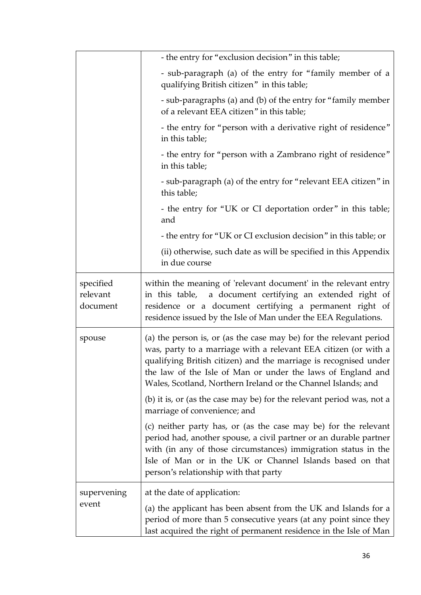|                                   | - the entry for "exclusion decision" in this table;                                                                                                                                                                                                                                                                                       |
|-----------------------------------|-------------------------------------------------------------------------------------------------------------------------------------------------------------------------------------------------------------------------------------------------------------------------------------------------------------------------------------------|
|                                   | - sub-paragraph (a) of the entry for "family member of a<br>qualifying British citizen" in this table;                                                                                                                                                                                                                                    |
|                                   | - sub-paragraphs (a) and (b) of the entry for "family member<br>of a relevant EEA citizen" in this table;                                                                                                                                                                                                                                 |
|                                   | - the entry for "person with a derivative right of residence"<br>in this table;                                                                                                                                                                                                                                                           |
|                                   | - the entry for "person with a Zambrano right of residence"<br>in this table;                                                                                                                                                                                                                                                             |
|                                   | - sub-paragraph (a) of the entry for "relevant EEA citizen" in<br>this table;                                                                                                                                                                                                                                                             |
|                                   | - the entry for "UK or CI deportation order" in this table;<br>and                                                                                                                                                                                                                                                                        |
|                                   | - the entry for "UK or CI exclusion decision" in this table; or                                                                                                                                                                                                                                                                           |
|                                   | (ii) otherwise, such date as will be specified in this Appendix<br>in due course                                                                                                                                                                                                                                                          |
| specified<br>relevant<br>document | within the meaning of 'relevant document' in the relevant entry<br>in this table, a document certifying an extended right of<br>residence or a document certifying a permanent right of<br>residence issued by the Isle of Man under the EEA Regulations.                                                                                 |
| spouse                            | (a) the person is, or (as the case may be) for the relevant period<br>was, party to a marriage with a relevant EEA citizen (or with a<br>qualifying British citizen) and the marriage is recognised under<br>the law of the Isle of Man or under the laws of England and<br>Wales, Scotland, Northern Ireland or the Channel Islands; and |
|                                   | (b) it is, or (as the case may be) for the relevant period was, not a<br>marriage of convenience; and                                                                                                                                                                                                                                     |
|                                   | (c) neither party has, or (as the case may be) for the relevant<br>period had, another spouse, a civil partner or an durable partner<br>with (in any of those circumstances) immigration status in the<br>Isle of Man or in the UK or Channel Islands based on that<br>person's relationship with that party                              |
| supervening                       | at the date of application:                                                                                                                                                                                                                                                                                                               |
| event                             | (a) the applicant has been absent from the UK and Islands for a<br>period of more than 5 consecutive years (at any point since they<br>last acquired the right of permanent residence in the Isle of Man                                                                                                                                  |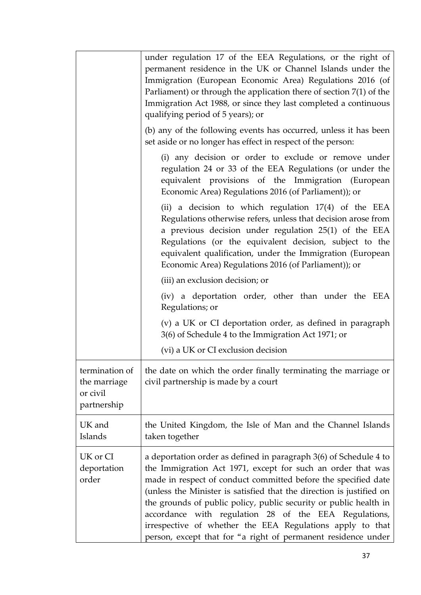|                                                           | under regulation 17 of the EEA Regulations, or the right of<br>permanent residence in the UK or Channel Islands under the<br>Immigration (European Economic Area) Regulations 2016 (of<br>Parliament) or through the application there of section $7(1)$ of the<br>Immigration Act 1988, or since they last completed a continuous<br>qualifying period of 5 years); or                                                                                                                                                                |
|-----------------------------------------------------------|----------------------------------------------------------------------------------------------------------------------------------------------------------------------------------------------------------------------------------------------------------------------------------------------------------------------------------------------------------------------------------------------------------------------------------------------------------------------------------------------------------------------------------------|
|                                                           | (b) any of the following events has occurred, unless it has been<br>set aside or no longer has effect in respect of the person:                                                                                                                                                                                                                                                                                                                                                                                                        |
|                                                           | (i) any decision or order to exclude or remove under<br>regulation 24 or 33 of the EEA Regulations (or under the<br>equivalent provisions of the Immigration (European<br>Economic Area) Regulations 2016 (of Parliament)); or                                                                                                                                                                                                                                                                                                         |
|                                                           | (ii) a decision to which regulation $17(4)$ of the EEA<br>Regulations otherwise refers, unless that decision arose from<br>a previous decision under regulation 25(1) of the EEA<br>Regulations (or the equivalent decision, subject to the<br>equivalent qualification, under the Immigration (European<br>Economic Area) Regulations 2016 (of Parliament)); or                                                                                                                                                                       |
|                                                           | (iii) an exclusion decision; or                                                                                                                                                                                                                                                                                                                                                                                                                                                                                                        |
|                                                           | (iv) a deportation order, other than under the EEA<br>Regulations; or                                                                                                                                                                                                                                                                                                                                                                                                                                                                  |
|                                                           | (v) a UK or CI deportation order, as defined in paragraph<br>3(6) of Schedule 4 to the Immigration Act 1971; or                                                                                                                                                                                                                                                                                                                                                                                                                        |
|                                                           | (vi) a UK or CI exclusion decision                                                                                                                                                                                                                                                                                                                                                                                                                                                                                                     |
| termination of<br>the marriage<br>or civil<br>partnership | the date on which the order finally terminating the marriage or<br>civil partnership is made by a court                                                                                                                                                                                                                                                                                                                                                                                                                                |
| UK and<br>Islands                                         | the United Kingdom, the Isle of Man and the Channel Islands<br>taken together                                                                                                                                                                                                                                                                                                                                                                                                                                                          |
| UK or CI<br>deportation<br>order                          | a deportation order as defined in paragraph 3(6) of Schedule 4 to<br>the Immigration Act 1971, except for such an order that was<br>made in respect of conduct committed before the specified date<br>(unless the Minister is satisfied that the direction is justified on<br>the grounds of public policy, public security or public health in<br>accordance with regulation 28 of the EEA Regulations,<br>irrespective of whether the EEA Regulations apply to that<br>person, except that for "a right of permanent residence under |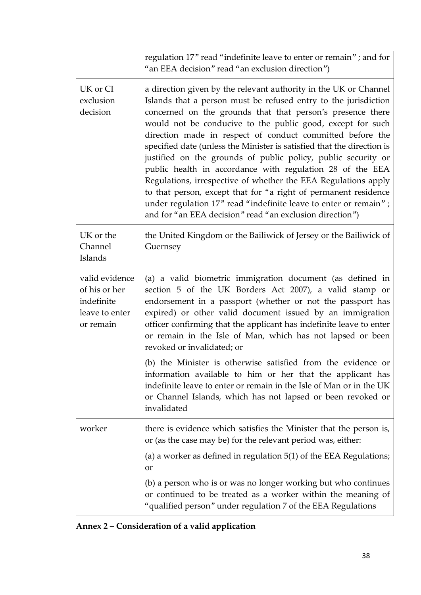|                                                                              | regulation 17" read "indefinite leave to enter or remain"; and for<br>"an EEA decision" read "an exclusion direction")                                                                                                                                                                                                                                                                                                                                                                                                                                                                                                                                                                                                                                                                                    |
|------------------------------------------------------------------------------|-----------------------------------------------------------------------------------------------------------------------------------------------------------------------------------------------------------------------------------------------------------------------------------------------------------------------------------------------------------------------------------------------------------------------------------------------------------------------------------------------------------------------------------------------------------------------------------------------------------------------------------------------------------------------------------------------------------------------------------------------------------------------------------------------------------|
| UK or CI<br>exclusion<br>decision                                            | a direction given by the relevant authority in the UK or Channel<br>Islands that a person must be refused entry to the jurisdiction<br>concerned on the grounds that that person's presence there<br>would not be conducive to the public good, except for such<br>direction made in respect of conduct committed before the<br>specified date (unless the Minister is satisfied that the direction is<br>justified on the grounds of public policy, public security or<br>public health in accordance with regulation 28 of the EEA<br>Regulations, irrespective of whether the EEA Regulations apply<br>to that person, except that for "a right of permanent residence<br>under regulation 17" read "indefinite leave to enter or remain";<br>and for "an EEA decision" read "an exclusion direction") |
| UK or the<br>Channel<br>Islands                                              | the United Kingdom or the Bailiwick of Jersey or the Bailiwick of<br>Guernsey                                                                                                                                                                                                                                                                                                                                                                                                                                                                                                                                                                                                                                                                                                                             |
| valid evidence<br>of his or her<br>indefinite<br>leave to enter<br>or remain | (a) a valid biometric immigration document (as defined in<br>section 5 of the UK Borders Act 2007), a valid stamp or<br>endorsement in a passport (whether or not the passport has<br>expired) or other valid document issued by an immigration<br>officer confirming that the applicant has indefinite leave to enter<br>or remain in the Isle of Man, which has not lapsed or been<br>revoked or invalidated; or                                                                                                                                                                                                                                                                                                                                                                                        |
|                                                                              | (b) the Minister is otherwise satisfied from the evidence or<br>information available to him or her that the applicant has<br>indefinite leave to enter or remain in the Isle of Man or in the UK<br>or Channel Islands, which has not lapsed or been revoked or<br>invalidated                                                                                                                                                                                                                                                                                                                                                                                                                                                                                                                           |
| worker                                                                       | there is evidence which satisfies the Minister that the person is,<br>or (as the case may be) for the relevant period was, either:<br>(a) a worker as defined in regulation $5(1)$ of the EEA Regulations;<br>or                                                                                                                                                                                                                                                                                                                                                                                                                                                                                                                                                                                          |
|                                                                              | (b) a person who is or was no longer working but who continues<br>or continued to be treated as a worker within the meaning of<br>"qualified person" under regulation 7 of the EEA Regulations                                                                                                                                                                                                                                                                                                                                                                                                                                                                                                                                                                                                            |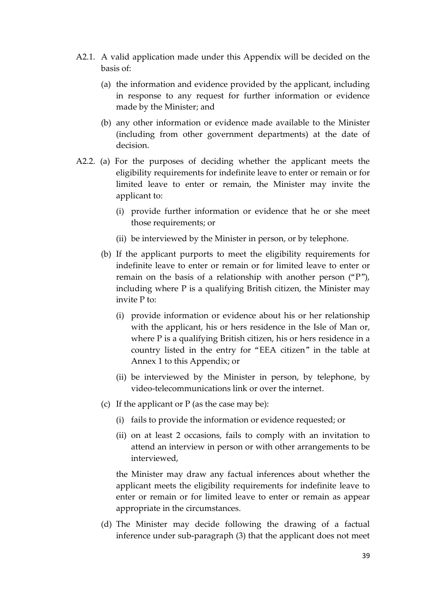- A2.1. A valid application made under this Appendix will be decided on the basis of:
	- (a) the information and evidence provided by the applicant, including in response to any request for further information or evidence made by the Minister; and
	- (b) any other information or evidence made available to the Minister (including from other government departments) at the date of decision.
- A2.2. (a) For the purposes of deciding whether the applicant meets the eligibility requirements for indefinite leave to enter or remain or for limited leave to enter or remain, the Minister may invite the applicant to:
	- (i) provide further information or evidence that he or she meet those requirements; or
	- (ii) be interviewed by the Minister in person, or by telephone.
	- (b) If the applicant purports to meet the eligibility requirements for indefinite leave to enter or remain or for limited leave to enter or remain on the basis of a relationship with another person ("P"), including where P is a qualifying British citizen, the Minister may invite P to:
		- (i) provide information or evidence about his or her relationship with the applicant, his or hers residence in the Isle of Man or, where P is a qualifying British citizen, his or hers residence in a country listed in the entry for "EEA citizen" in the table at Annex 1 to this Appendix; or
		- (ii) be interviewed by the Minister in person, by telephone, by video-telecommunications link or over the internet.
	- (c) If the applicant or  $P$  (as the case may be):
		- (i) fails to provide the information or evidence requested; or
		- (ii) on at least 2 occasions, fails to comply with an invitation to attend an interview in person or with other arrangements to be interviewed,

the Minister may draw any factual inferences about whether the applicant meets the eligibility requirements for indefinite leave to enter or remain or for limited leave to enter or remain as appear appropriate in the circumstances.

(d) The Minister may decide following the drawing of a factual inference under sub-paragraph (3) that the applicant does not meet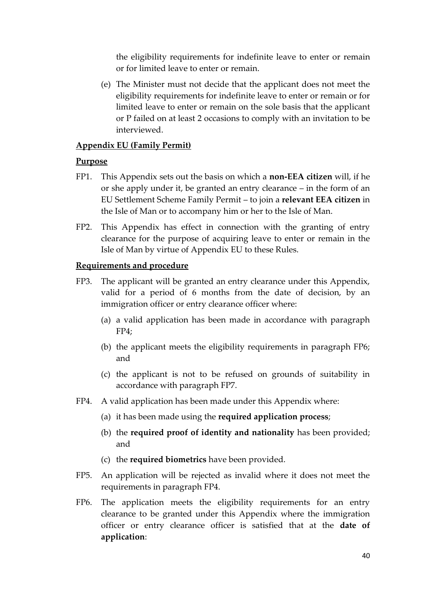the eligibility requirements for indefinite leave to enter or remain or for limited leave to enter or remain.

(e) The Minister must not decide that the applicant does not meet the eligibility requirements for indefinite leave to enter or remain or for limited leave to enter or remain on the sole basis that the applicant or P failed on at least 2 occasions to comply with an invitation to be interviewed.

### **Appendix EU (Family Permit)**

### **Purpose**

- FP1. This Appendix sets out the basis on which a **non-EEA citizen** will, if he or she apply under it, be granted an entry clearance – in the form of an EU Settlement Scheme Family Permit – to join a **relevant EEA citizen** in the Isle of Man or to accompany him or her to the Isle of Man.
- FP2. This Appendix has effect in connection with the granting of entry clearance for the purpose of acquiring leave to enter or remain in the Isle of Man by virtue of Appendix EU to these Rules.

### **Requirements and procedure**

- FP3. The applicant will be granted an entry clearance under this Appendix, valid for a period of 6 months from the date of decision, by an immigration officer or entry clearance officer where:
	- (a) a valid application has been made in accordance with paragraph FP4;
	- (b) the applicant meets the eligibility requirements in paragraph FP6; and
	- (c) the applicant is not to be refused on grounds of suitability in accordance with paragraph FP7.
- FP4. A valid application has been made under this Appendix where:
	- (a) it has been made using the **required application process**;
	- (b) the **required proof of identity and nationality** has been provided; and
	- (c) the **required biometrics** have been provided.
- FP5. An application will be rejected as invalid where it does not meet the requirements in paragraph FP4.
- FP6. The application meets the eligibility requirements for an entry clearance to be granted under this Appendix where the immigration officer or entry clearance officer is satisfied that at the **date of application**: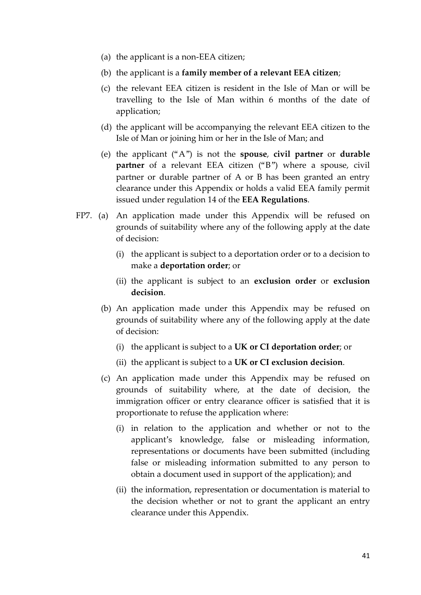- (a) the applicant is a non-EEA citizen;
- (b) the applicant is a **family member of a relevant EEA citizen**;
- (c) the relevant EEA citizen is resident in the Isle of Man or will be travelling to the Isle of Man within 6 months of the date of application;
- (d) the applicant will be accompanying the relevant EEA citizen to the Isle of Man or joining him or her in the Isle of Man; and
- (e) the applicant ("A") is not the **spouse**, **civil partner** or **durable partner** of a relevant EEA citizen ("B") where a spouse, civil partner or durable partner of A or B has been granted an entry clearance under this Appendix or holds a valid EEA family permit issued under regulation 14 of the **EEA Regulations**.
- FP7. (a) An application made under this Appendix will be refused on grounds of suitability where any of the following apply at the date of decision:
	- (i) the applicant is subject to a deportation order or to a decision to make a **deportation order**; or
	- (ii) the applicant is subject to an **exclusion order** or **exclusion decision**.
	- (b) An application made under this Appendix may be refused on grounds of suitability where any of the following apply at the date of decision:
		- (i) the applicant is subject to a **UK or CI deportation order**; or
		- (ii) the applicant is subject to a **UK or CI exclusion decision**.
	- (c) An application made under this Appendix may be refused on grounds of suitability where, at the date of decision, the immigration officer or entry clearance officer is satisfied that it is proportionate to refuse the application where:
		- (i) in relation to the application and whether or not to the applicant's knowledge, false or misleading information, representations or documents have been submitted (including false or misleading information submitted to any person to obtain a document used in support of the application); and
		- (ii) the information, representation or documentation is material to the decision whether or not to grant the applicant an entry clearance under this Appendix.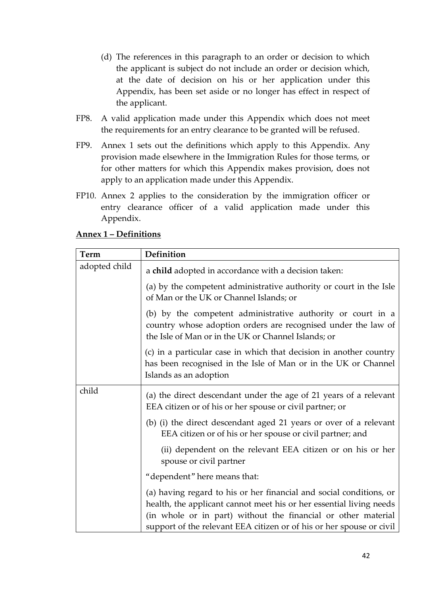- (d) The references in this paragraph to an order or decision to which the applicant is subject do not include an order or decision which, at the date of decision on his or her application under this Appendix, has been set aside or no longer has effect in respect of the applicant.
- FP8. A valid application made under this Appendix which does not meet the requirements for an entry clearance to be granted will be refused.
- FP9. Annex 1 sets out the definitions which apply to this Appendix. Any provision made elsewhere in the Immigration Rules for those terms, or for other matters for which this Appendix makes provision, does not apply to an application made under this Appendix.
- FP10. Annex 2 applies to the consideration by the immigration officer or entry clearance officer of a valid application made under this Appendix.

| Term          | Definition                                                                                                                                                                                                                                                                          |
|---------------|-------------------------------------------------------------------------------------------------------------------------------------------------------------------------------------------------------------------------------------------------------------------------------------|
| adopted child | a child adopted in accordance with a decision taken:                                                                                                                                                                                                                                |
|               | (a) by the competent administrative authority or court in the Isle<br>of Man or the UK or Channel Islands; or                                                                                                                                                                       |
|               | (b) by the competent administrative authority or court in a<br>country whose adoption orders are recognised under the law of<br>the Isle of Man or in the UK or Channel Islands; or                                                                                                 |
|               | (c) in a particular case in which that decision in another country<br>has been recognised in the Isle of Man or in the UK or Channel<br>Islands as an adoption                                                                                                                      |
| child         | (a) the direct descendant under the age of 21 years of a relevant<br>EEA citizen or of his or her spouse or civil partner; or                                                                                                                                                       |
|               | (b) (i) the direct descendant aged 21 years or over of a relevant<br>EEA citizen or of his or her spouse or civil partner; and                                                                                                                                                      |
|               | (ii) dependent on the relevant EEA citizen or on his or her<br>spouse or civil partner                                                                                                                                                                                              |
|               | "dependent" here means that:                                                                                                                                                                                                                                                        |
|               | (a) having regard to his or her financial and social conditions, or<br>health, the applicant cannot meet his or her essential living needs<br>(in whole or in part) without the financial or other material<br>support of the relevant EEA citizen or of his or her spouse or civil |

## **Annex 1 – Definitions**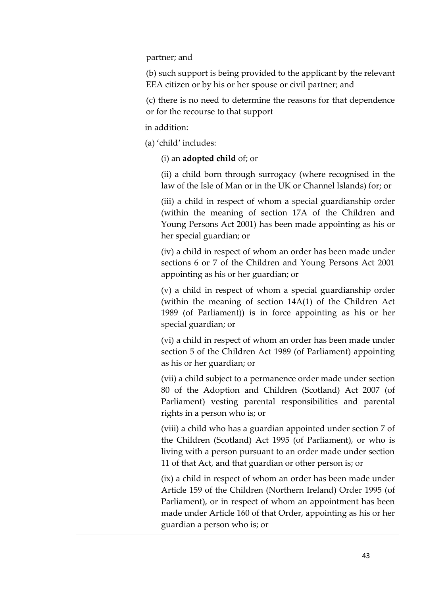| partner; and                                                                                                                                                                                                                                                                                  |
|-----------------------------------------------------------------------------------------------------------------------------------------------------------------------------------------------------------------------------------------------------------------------------------------------|
| (b) such support is being provided to the applicant by the relevant<br>EEA citizen or by his or her spouse or civil partner; and                                                                                                                                                              |
| (c) there is no need to determine the reasons for that dependence<br>or for the recourse to that support                                                                                                                                                                                      |
| in addition:                                                                                                                                                                                                                                                                                  |
| (a) 'child' includes:                                                                                                                                                                                                                                                                         |
| (i) an <b>adopted child</b> of; or                                                                                                                                                                                                                                                            |
| (ii) a child born through surrogacy (where recognised in the<br>law of the Isle of Man or in the UK or Channel Islands) for; or                                                                                                                                                               |
| (iii) a child in respect of whom a special guardianship order<br>(within the meaning of section 17A of the Children and<br>Young Persons Act 2001) has been made appointing as his or<br>her special guardian; or                                                                             |
| (iv) a child in respect of whom an order has been made under<br>sections 6 or 7 of the Children and Young Persons Act 2001<br>appointing as his or her guardian; or                                                                                                                           |
| (v) a child in respect of whom a special guardianship order<br>(within the meaning of section 14A(1) of the Children Act<br>1989 (of Parliament)) is in force appointing as his or her<br>special guardian; or                                                                                |
| (vi) a child in respect of whom an order has been made under<br>section 5 of the Children Act 1989 (of Parliament) appointing<br>as his or her guardian; or                                                                                                                                   |
| (vii) a child subject to a permanence order made under section<br>80 of the Adoption and Children (Scotland) Act 2007 (of<br>Parliament) vesting parental responsibilities and parental<br>rights in a person who is; or                                                                      |
| (viii) a child who has a guardian appointed under section 7 of<br>the Children (Scotland) Act 1995 (of Parliament), or who is<br>living with a person pursuant to an order made under section<br>11 of that Act, and that guardian or other person is; or                                     |
| (ix) a child in respect of whom an order has been made under<br>Article 159 of the Children (Northern Ireland) Order 1995 (of<br>Parliament), or in respect of whom an appointment has been<br>made under Article 160 of that Order, appointing as his or her<br>guardian a person who is; or |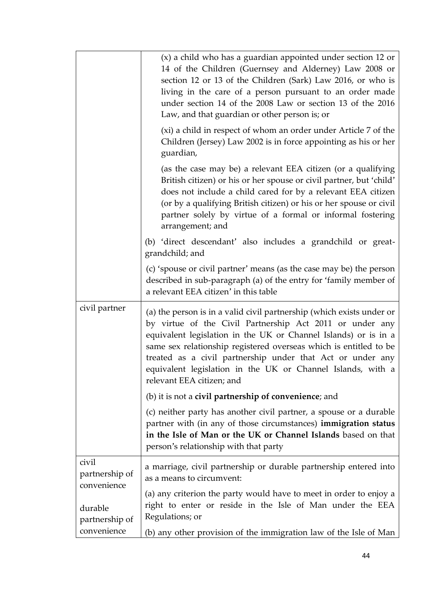|                                        | (x) a child who has a guardian appointed under section 12 or<br>14 of the Children (Guernsey and Alderney) Law 2008 or<br>section 12 or 13 of the Children (Sark) Law 2016, or who is<br>living in the care of a person pursuant to an order made<br>under section 14 of the 2008 Law or section 13 of the 2016<br>Law, and that guardian or other person is; or                                                                    |
|----------------------------------------|-------------------------------------------------------------------------------------------------------------------------------------------------------------------------------------------------------------------------------------------------------------------------------------------------------------------------------------------------------------------------------------------------------------------------------------|
|                                        | (xi) a child in respect of whom an order under Article 7 of the<br>Children (Jersey) Law 2002 is in force appointing as his or her<br>guardian,                                                                                                                                                                                                                                                                                     |
|                                        | (as the case may be) a relevant EEA citizen (or a qualifying<br>British citizen) or his or her spouse or civil partner, but 'child'<br>does not include a child cared for by a relevant EEA citizen<br>(or by a qualifying British citizen) or his or her spouse or civil<br>partner solely by virtue of a formal or informal fostering<br>arrangement; and                                                                         |
|                                        | (b) 'direct descendant' also includes a grandchild or great-<br>grandchild; and                                                                                                                                                                                                                                                                                                                                                     |
|                                        | (c) 'spouse or civil partner' means (as the case may be) the person<br>described in sub-paragraph (a) of the entry for 'family member of<br>a relevant EEA citizen' in this table                                                                                                                                                                                                                                                   |
| civil partner                          | (a) the person is in a valid civil partnership (which exists under or<br>by virtue of the Civil Partnership Act 2011 or under any<br>equivalent legislation in the UK or Channel Islands) or is in a<br>same sex relationship registered overseas which is entitled to be<br>treated as a civil partnership under that Act or under any<br>equivalent legislation in the UK or Channel Islands, with a<br>relevant EEA citizen; and |
|                                        | (b) it is not a <b>civil partnership of convenience</b> ; and                                                                                                                                                                                                                                                                                                                                                                       |
|                                        | (c) neither party has another civil partner, a spouse or a durable<br>partner with (in any of those circumstances) immigration status<br>in the Isle of Man or the UK or Channel Islands based on that<br>person's relationship with that party                                                                                                                                                                                     |
| civil<br>partnership of<br>convenience | a marriage, civil partnership or durable partnership entered into<br>as a means to circumvent:                                                                                                                                                                                                                                                                                                                                      |
| durable<br>partnership of              | (a) any criterion the party would have to meet in order to enjoy a<br>right to enter or reside in the Isle of Man under the EEA<br>Regulations; or                                                                                                                                                                                                                                                                                  |
| convenience                            | (b) any other provision of the immigration law of the Isle of Man                                                                                                                                                                                                                                                                                                                                                                   |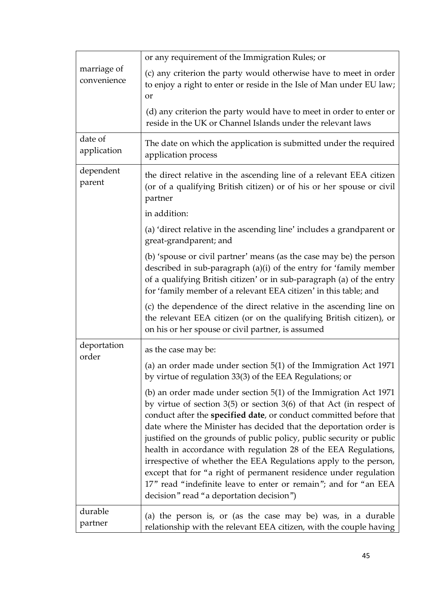| marriage of<br>convenience | or any requirement of the Immigration Rules; or                                                                                                                                                                                                                                                                                                                                                                                                                                                                                                                                                                                                                                             |
|----------------------------|---------------------------------------------------------------------------------------------------------------------------------------------------------------------------------------------------------------------------------------------------------------------------------------------------------------------------------------------------------------------------------------------------------------------------------------------------------------------------------------------------------------------------------------------------------------------------------------------------------------------------------------------------------------------------------------------|
|                            | (c) any criterion the party would otherwise have to meet in order<br>to enjoy a right to enter or reside in the Isle of Man under EU law;<br>or                                                                                                                                                                                                                                                                                                                                                                                                                                                                                                                                             |
|                            | (d) any criterion the party would have to meet in order to enter or<br>reside in the UK or Channel Islands under the relevant laws                                                                                                                                                                                                                                                                                                                                                                                                                                                                                                                                                          |
| date of<br>application     | The date on which the application is submitted under the required<br>application process                                                                                                                                                                                                                                                                                                                                                                                                                                                                                                                                                                                                    |
| dependent<br>parent        | the direct relative in the ascending line of a relevant EEA citizen<br>(or of a qualifying British citizen) or of his or her spouse or civil<br>partner                                                                                                                                                                                                                                                                                                                                                                                                                                                                                                                                     |
|                            | in addition:                                                                                                                                                                                                                                                                                                                                                                                                                                                                                                                                                                                                                                                                                |
|                            | (a) 'direct relative in the ascending line' includes a grandparent or<br>great-grandparent; and                                                                                                                                                                                                                                                                                                                                                                                                                                                                                                                                                                                             |
|                            | (b) 'spouse or civil partner' means (as the case may be) the person<br>described in sub-paragraph (a)(i) of the entry for 'family member<br>of a qualifying British citizen' or in sub-paragraph (a) of the entry<br>for 'family member of a relevant EEA citizen' in this table; and                                                                                                                                                                                                                                                                                                                                                                                                       |
|                            | (c) the dependence of the direct relative in the ascending line on<br>the relevant EEA citizen (or on the qualifying British citizen), or<br>on his or her spouse or civil partner, is assumed                                                                                                                                                                                                                                                                                                                                                                                                                                                                                              |
| deportation                | as the case may be:                                                                                                                                                                                                                                                                                                                                                                                                                                                                                                                                                                                                                                                                         |
| order                      | (a) an order made under section $5(1)$ of the Immigration Act 1971<br>by virtue of regulation 33(3) of the EEA Regulations; or                                                                                                                                                                                                                                                                                                                                                                                                                                                                                                                                                              |
|                            | (b) an order made under section $5(1)$ of the Immigration Act 1971<br>by virtue of section $3(5)$ or section $3(6)$ of that Act (in respect of<br>conduct after the specified date, or conduct committed before that<br>date where the Minister has decided that the deportation order is<br>justified on the grounds of public policy, public security or public<br>health in accordance with regulation 28 of the EEA Regulations,<br>irrespective of whether the EEA Regulations apply to the person,<br>except that for "a right of permanent residence under regulation<br>17" read "indefinite leave to enter or remain"; and for "an EEA<br>decision" read "a deportation decision") |
| durable<br>partner         | (a) the person is, or (as the case may be) was, in a durable<br>relationship with the relevant EEA citizen, with the couple having                                                                                                                                                                                                                                                                                                                                                                                                                                                                                                                                                          |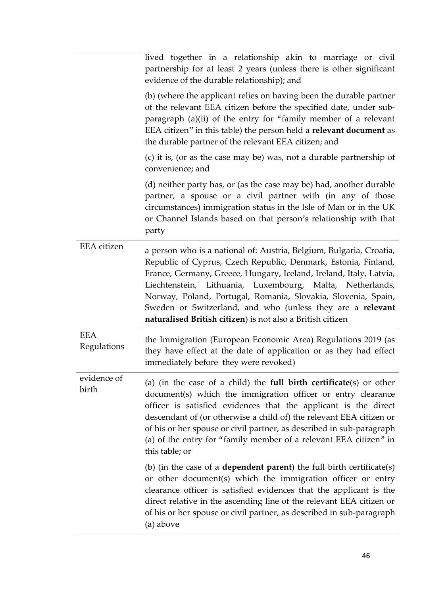|                           | lived together in a relationship akin to marriage or civil<br>partnership for at least 2 years (unless there is other significant<br>evidence of the durable relationship); and                                                                                                                                                                                                                                                                                       |
|---------------------------|-----------------------------------------------------------------------------------------------------------------------------------------------------------------------------------------------------------------------------------------------------------------------------------------------------------------------------------------------------------------------------------------------------------------------------------------------------------------------|
|                           | (b) (where the applicant relies on having been the durable partner<br>of the relevant EEA citizen before the specified date, under sub-<br>paragraph (a)(ii) of the entry for "family member of a relevant<br>EEA citizen" in this table) the person held a relevant document as<br>the durable partner of the relevant EEA citizen; and                                                                                                                              |
|                           | (c) it is, (or as the case may be) was, not a durable partnership of<br>convenience; and                                                                                                                                                                                                                                                                                                                                                                              |
|                           | (d) neither party has, or (as the case may be) had, another durable<br>partner, a spouse or a civil partner with (in any of those<br>circumstances) immigration status in the Isle of Man or in the UK<br>or Channel Islands based on that person's relationship with that<br>party                                                                                                                                                                                   |
| <b>EEA</b> citizen        | a person who is a national of: Austria, Belgium, Bulgaria, Croatia,<br>Republic of Cyprus, Czech Republic, Denmark, Estonia, Finland,<br>France, Germany, Greece, Hungary, Iceland, Ireland, Italy, Latvia,<br>Liechtenstein, Lithuania, Luxembourg, Malta, Netherlands,<br>Norway, Poland, Portugal, Romania, Slovakia, Slovenia, Spain,<br>Sweden or Switzerland, and who (unless they are a relevant<br>naturalised British citizen) is not also a British citizen |
| <b>EEA</b><br>Regulations | the Immigration (European Economic Area) Regulations 2019 (as<br>they have effect at the date of application or as they had effect<br>immediately before they were revoked)                                                                                                                                                                                                                                                                                           |
| evidence of<br>birth      | (a) (in the case of a child) the full birth certificate(s) or other<br>document(s) which the immigration officer or entry clearance<br>officer is satisfied evidences that the applicant is the direct<br>descendant of (or otherwise a child of) the relevant EEA citizen or<br>of his or her spouse or civil partner, as described in sub-paragraph<br>(a) of the entry for "family member of a relevant EEA citizen" in<br>this table; or                          |
|                           | (b) (in the case of a <b>dependent parent</b> ) the full birth certificate(s)<br>or other document(s) which the immigration officer or entry<br>clearance officer is satisfied evidences that the applicant is the<br>direct relative in the ascending line of the relevant EEA citizen or<br>of his or her spouse or civil partner, as described in sub-paragraph<br>(a) above                                                                                       |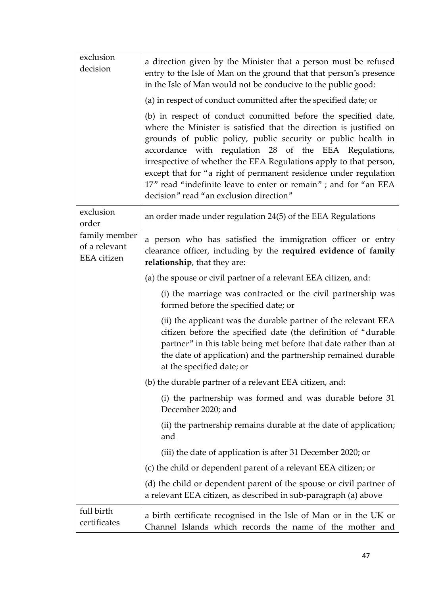| exclusion<br>decision                                | a direction given by the Minister that a person must be refused<br>entry to the Isle of Man on the ground that that person's presence<br>in the Isle of Man would not be conducive to the public good:                                                                                                                                                                                                                                                                                                                |
|------------------------------------------------------|-----------------------------------------------------------------------------------------------------------------------------------------------------------------------------------------------------------------------------------------------------------------------------------------------------------------------------------------------------------------------------------------------------------------------------------------------------------------------------------------------------------------------|
|                                                      | (a) in respect of conduct committed after the specified date; or                                                                                                                                                                                                                                                                                                                                                                                                                                                      |
|                                                      | (b) in respect of conduct committed before the specified date,<br>where the Minister is satisfied that the direction is justified on<br>grounds of public policy, public security or public health in<br>accordance with regulation 28 of the EEA Regulations,<br>irrespective of whether the EEA Regulations apply to that person,<br>except that for "a right of permanent residence under regulation<br>17" read "indefinite leave to enter or remain"; and for "an EEA<br>decision" read "an exclusion direction" |
| exclusion<br>order                                   | an order made under regulation 24(5) of the EEA Regulations                                                                                                                                                                                                                                                                                                                                                                                                                                                           |
| family member<br>of a relevant<br><b>EEA</b> citizen | a person who has satisfied the immigration officer or entry<br>clearance officer, including by the required evidence of family<br>relationship, that they are:                                                                                                                                                                                                                                                                                                                                                        |
|                                                      | (a) the spouse or civil partner of a relevant EEA citizen, and:                                                                                                                                                                                                                                                                                                                                                                                                                                                       |
|                                                      | (i) the marriage was contracted or the civil partnership was<br>formed before the specified date; or                                                                                                                                                                                                                                                                                                                                                                                                                  |
|                                                      | (ii) the applicant was the durable partner of the relevant EEA<br>citizen before the specified date (the definition of "durable<br>partner" in this table being met before that date rather than at<br>the date of application) and the partnership remained durable<br>at the specified date; or                                                                                                                                                                                                                     |
|                                                      | (b) the durable partner of a relevant EEA citizen, and:                                                                                                                                                                                                                                                                                                                                                                                                                                                               |
|                                                      | (i) the partnership was formed and was durable before 31<br>December 2020; and                                                                                                                                                                                                                                                                                                                                                                                                                                        |
|                                                      | (ii) the partnership remains durable at the date of application;<br>and                                                                                                                                                                                                                                                                                                                                                                                                                                               |
|                                                      | (iii) the date of application is after 31 December 2020; or                                                                                                                                                                                                                                                                                                                                                                                                                                                           |
|                                                      | (c) the child or dependent parent of a relevant EEA citizen; or                                                                                                                                                                                                                                                                                                                                                                                                                                                       |
|                                                      | (d) the child or dependent parent of the spouse or civil partner of<br>a relevant EEA citizen, as described in sub-paragraph (a) above                                                                                                                                                                                                                                                                                                                                                                                |
| full birth<br>certificates                           | a birth certificate recognised in the Isle of Man or in the UK or<br>Channel Islands which records the name of the mother and                                                                                                                                                                                                                                                                                                                                                                                         |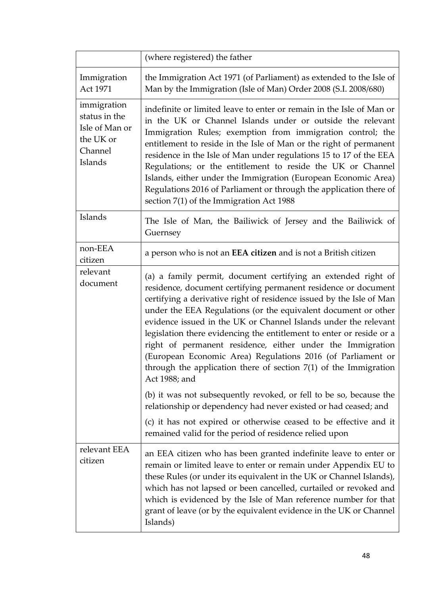|                                                                                   | (where registered) the father                                                                                                                                                                                                                                                                                                                                                                                                                                                                                                                                                                                                            |
|-----------------------------------------------------------------------------------|------------------------------------------------------------------------------------------------------------------------------------------------------------------------------------------------------------------------------------------------------------------------------------------------------------------------------------------------------------------------------------------------------------------------------------------------------------------------------------------------------------------------------------------------------------------------------------------------------------------------------------------|
| Immigration<br>Act 1971                                                           | the Immigration Act 1971 (of Parliament) as extended to the Isle of<br>Man by the Immigration (Isle of Man) Order 2008 (S.I. 2008/680)                                                                                                                                                                                                                                                                                                                                                                                                                                                                                                   |
| immigration<br>status in the<br>Isle of Man or<br>the UK or<br>Channel<br>Islands | indefinite or limited leave to enter or remain in the Isle of Man or<br>in the UK or Channel Islands under or outside the relevant<br>Immigration Rules; exemption from immigration control; the<br>entitlement to reside in the Isle of Man or the right of permanent<br>residence in the Isle of Man under regulations 15 to 17 of the EEA<br>Regulations; or the entitlement to reside the UK or Channel<br>Islands, either under the Immigration (European Economic Area)<br>Regulations 2016 of Parliament or through the application there of<br>section 7(1) of the Immigration Act 1988                                          |
| Islands                                                                           | The Isle of Man, the Bailiwick of Jersey and the Bailiwick of<br>Guernsey                                                                                                                                                                                                                                                                                                                                                                                                                                                                                                                                                                |
| non-EEA<br>citizen                                                                | a person who is not an <b>EEA citizen</b> and is not a British citizen                                                                                                                                                                                                                                                                                                                                                                                                                                                                                                                                                                   |
| relevant<br>document                                                              | (a) a family permit, document certifying an extended right of<br>residence, document certifying permanent residence or document<br>certifying a derivative right of residence issued by the Isle of Man<br>under the EEA Regulations (or the equivalent document or other<br>evidence issued in the UK or Channel Islands under the relevant<br>legislation there evidencing the entitlement to enter or reside or a<br>right of permanent residence, either under the Immigration<br>(European Economic Area) Regulations 2016 (of Parliament or<br>through the application there of section $7(1)$ of the Immigration<br>Act 1988; and |
|                                                                                   | (b) it was not subsequently revoked, or fell to be so, because the<br>relationship or dependency had never existed or had ceased; and                                                                                                                                                                                                                                                                                                                                                                                                                                                                                                    |
|                                                                                   | (c) it has not expired or otherwise ceased to be effective and it<br>remained valid for the period of residence relied upon                                                                                                                                                                                                                                                                                                                                                                                                                                                                                                              |
| relevant EEA<br>citizen                                                           | an EEA citizen who has been granted indefinite leave to enter or<br>remain or limited leave to enter or remain under Appendix EU to<br>these Rules (or under its equivalent in the UK or Channel Islands),<br>which has not lapsed or been cancelled, curtailed or revoked and<br>which is evidenced by the Isle of Man reference number for that<br>grant of leave (or by the equivalent evidence in the UK or Channel<br>Islands)                                                                                                                                                                                                      |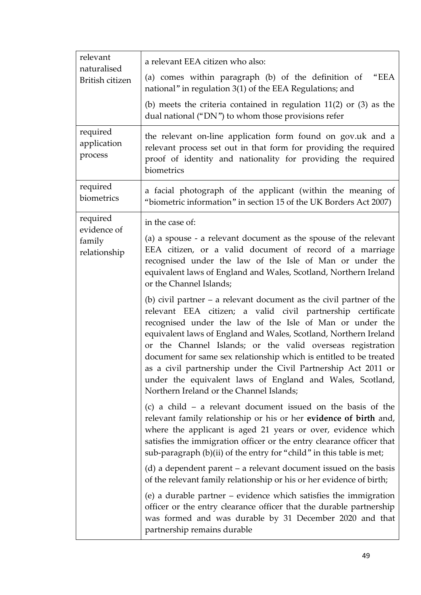| relevant                              |                                                                                                                                                                                                                                                                                                                                                                                                                                                                                                                                                                                     |
|---------------------------------------|-------------------------------------------------------------------------------------------------------------------------------------------------------------------------------------------------------------------------------------------------------------------------------------------------------------------------------------------------------------------------------------------------------------------------------------------------------------------------------------------------------------------------------------------------------------------------------------|
| naturalised                           | a relevant EEA citizen who also:                                                                                                                                                                                                                                                                                                                                                                                                                                                                                                                                                    |
| British citizen                       | (a) comes within paragraph (b) of the definition of<br>"EEA<br>national" in regulation 3(1) of the EEA Regulations; and                                                                                                                                                                                                                                                                                                                                                                                                                                                             |
|                                       | (b) meets the criteria contained in regulation $11(2)$ or $(3)$ as the<br>dual national ("DN") to whom those provisions refer                                                                                                                                                                                                                                                                                                                                                                                                                                                       |
| required<br>application<br>process    | the relevant on-line application form found on gov.uk and a<br>relevant process set out in that form for providing the required<br>proof of identity and nationality for providing the required<br>biometrics                                                                                                                                                                                                                                                                                                                                                                       |
| required<br>biometrics                | a facial photograph of the applicant (within the meaning of<br>"biometric information" in section 15 of the UK Borders Act 2007)                                                                                                                                                                                                                                                                                                                                                                                                                                                    |
| required                              | in the case of:                                                                                                                                                                                                                                                                                                                                                                                                                                                                                                                                                                     |
| evidence of<br>family<br>relationship | (a) a spouse - a relevant document as the spouse of the relevant<br>EEA citizen, or a valid document of record of a marriage<br>recognised under the law of the Isle of Man or under the<br>equivalent laws of England and Wales, Scotland, Northern Ireland<br>or the Channel Islands;                                                                                                                                                                                                                                                                                             |
|                                       | (b) civil partner $-$ a relevant document as the civil partner of the<br>relevant EEA citizen; a valid civil partnership certificate<br>recognised under the law of the Isle of Man or under the<br>equivalent laws of England and Wales, Scotland, Northern Ireland<br>or the Channel Islands; or the valid overseas registration<br>document for same sex relationship which is entitled to be treated<br>as a civil partnership under the Civil Partnership Act 2011 or<br>under the equivalent laws of England and Wales, Scotland,<br>Northern Ireland or the Channel Islands; |
|                                       | (c) a child $-$ a relevant document issued on the basis of the<br>relevant family relationship or his or her evidence of birth and,<br>where the applicant is aged 21 years or over, evidence which<br>satisfies the immigration officer or the entry clearance officer that<br>sub-paragraph (b)(ii) of the entry for "child" in this table is met;                                                                                                                                                                                                                                |
|                                       | (d) a dependent parent $-$ a relevant document issued on the basis<br>of the relevant family relationship or his or her evidence of birth;                                                                                                                                                                                                                                                                                                                                                                                                                                          |
|                                       | (e) a durable partner - evidence which satisfies the immigration<br>officer or the entry clearance officer that the durable partnership<br>was formed and was durable by 31 December 2020 and that<br>partnership remains durable                                                                                                                                                                                                                                                                                                                                                   |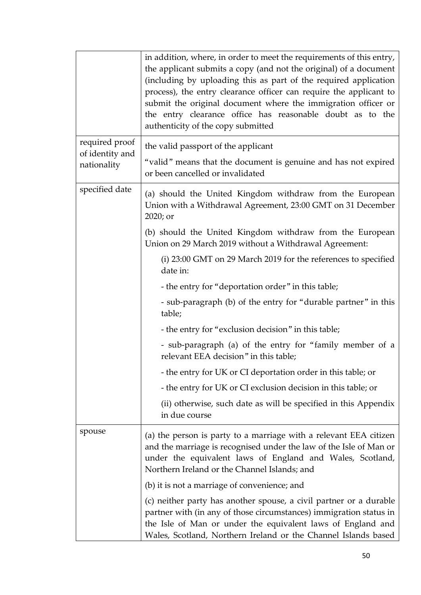|                                                  | in addition, where, in order to meet the requirements of this entry,<br>the applicant submits a copy (and not the original) of a document<br>(including by uploading this as part of the required application<br>process), the entry clearance officer can require the applicant to<br>submit the original document where the immigration officer or<br>the entry clearance office has reasonable doubt as to the<br>authenticity of the copy submitted |
|--------------------------------------------------|---------------------------------------------------------------------------------------------------------------------------------------------------------------------------------------------------------------------------------------------------------------------------------------------------------------------------------------------------------------------------------------------------------------------------------------------------------|
| required proof<br>of identity and<br>nationality | the valid passport of the applicant<br>"valid" means that the document is genuine and has not expired<br>or been cancelled or invalidated                                                                                                                                                                                                                                                                                                               |
| specified date                                   | (a) should the United Kingdom withdraw from the European<br>Union with a Withdrawal Agreement, 23:00 GMT on 31 December<br>2020; or                                                                                                                                                                                                                                                                                                                     |
|                                                  | (b) should the United Kingdom withdraw from the European<br>Union on 29 March 2019 without a Withdrawal Agreement:                                                                                                                                                                                                                                                                                                                                      |
|                                                  | (i) 23:00 GMT on 29 March 2019 for the references to specified<br>date in:                                                                                                                                                                                                                                                                                                                                                                              |
|                                                  | - the entry for "deportation order" in this table;                                                                                                                                                                                                                                                                                                                                                                                                      |
|                                                  | - sub-paragraph (b) of the entry for "durable partner" in this<br>table;                                                                                                                                                                                                                                                                                                                                                                                |
|                                                  | - the entry for "exclusion decision" in this table;                                                                                                                                                                                                                                                                                                                                                                                                     |
|                                                  | - sub-paragraph (a) of the entry for "family member of a<br>relevant EEA decision" in this table;                                                                                                                                                                                                                                                                                                                                                       |
|                                                  | - the entry for UK or CI deportation order in this table; or                                                                                                                                                                                                                                                                                                                                                                                            |
|                                                  | - the entry for UK or CI exclusion decision in this table; or                                                                                                                                                                                                                                                                                                                                                                                           |
|                                                  | (ii) otherwise, such date as will be specified in this Appendix<br>in due course                                                                                                                                                                                                                                                                                                                                                                        |
| spouse                                           | (a) the person is party to a marriage with a relevant EEA citizen<br>and the marriage is recognised under the law of the Isle of Man or<br>under the equivalent laws of England and Wales, Scotland,<br>Northern Ireland or the Channel Islands; and                                                                                                                                                                                                    |
|                                                  | (b) it is not a marriage of convenience; and                                                                                                                                                                                                                                                                                                                                                                                                            |
|                                                  | (c) neither party has another spouse, a civil partner or a durable<br>partner with (in any of those circumstances) immigration status in<br>the Isle of Man or under the equivalent laws of England and<br>Wales, Scotland, Northern Ireland or the Channel Islands based                                                                                                                                                                               |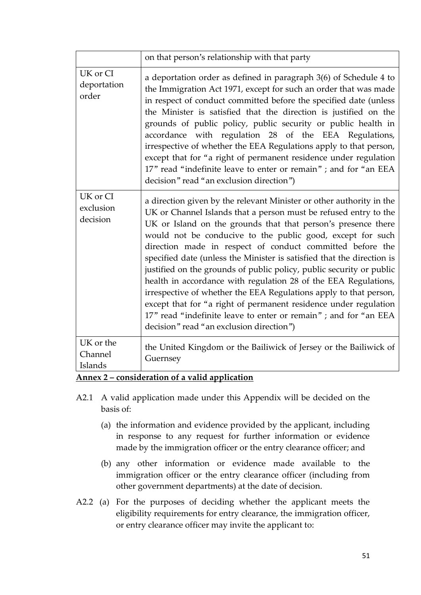|                                   | on that person's relationship with that party                                                                                                                                                                                                                                                                                                                                                                                                                                                                                                                                                                                                                                                                                                                                                                     |
|-----------------------------------|-------------------------------------------------------------------------------------------------------------------------------------------------------------------------------------------------------------------------------------------------------------------------------------------------------------------------------------------------------------------------------------------------------------------------------------------------------------------------------------------------------------------------------------------------------------------------------------------------------------------------------------------------------------------------------------------------------------------------------------------------------------------------------------------------------------------|
| UK or CI<br>deportation<br>order  | a deportation order as defined in paragraph 3(6) of Schedule 4 to<br>the Immigration Act 1971, except for such an order that was made<br>in respect of conduct committed before the specified date (unless<br>the Minister is satisfied that the direction is justified on the<br>grounds of public policy, public security or public health in<br>accordance with regulation 28 of the EEA Regulations,<br>irrespective of whether the EEA Regulations apply to that person,<br>except that for "a right of permanent residence under regulation<br>17" read "indefinite leave to enter or remain"; and for "an EEA<br>decision" read "an exclusion direction")                                                                                                                                                  |
| UK or CI<br>exclusion<br>decision | a direction given by the relevant Minister or other authority in the<br>UK or Channel Islands that a person must be refused entry to the<br>UK or Island on the grounds that that person's presence there<br>would not be conducive to the public good, except for such<br>direction made in respect of conduct committed before the<br>specified date (unless the Minister is satisfied that the direction is<br>justified on the grounds of public policy, public security or public<br>health in accordance with regulation 28 of the EEA Regulations,<br>irrespective of whether the EEA Regulations apply to that person,<br>except that for "a right of permanent residence under regulation<br>17" read "indefinite leave to enter or remain"; and for "an EEA<br>decision" read "an exclusion direction") |
| UK or the<br>Channel<br>Islands   | the United Kingdom or the Bailiwick of Jersey or the Bailiwick of<br>Guernsey                                                                                                                                                                                                                                                                                                                                                                                                                                                                                                                                                                                                                                                                                                                                     |

#### **Annex 2 – consideration of a valid application**

- A2.1 A valid application made under this Appendix will be decided on the basis of:
	- (a) the information and evidence provided by the applicant, including in response to any request for further information or evidence made by the immigration officer or the entry clearance officer; and
	- (b) any other information or evidence made available to the immigration officer or the entry clearance officer (including from other government departments) at the date of decision.
- A2.2 (a) For the purposes of deciding whether the applicant meets the eligibility requirements for entry clearance, the immigration officer, or entry clearance officer may invite the applicant to: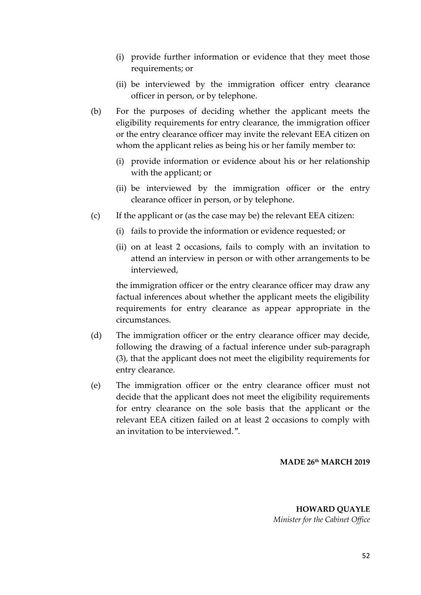- (i) provide further information or evidence that they meet those requirements; or
- (ii) be interviewed by the immigration officer entry clearance officer in person, or by telephone.
- (b) For the purposes of deciding whether the applicant meets the eligibility requirements for entry clearance, the immigration officer or the entry clearance officer may invite the relevant EEA citizen on whom the applicant relies as being his or her family member to:
	- (i) provide information or evidence about his or her relationship with the applicant; or
	- (ii) be interviewed by the immigration officer or the entry clearance officer in person, or by telephone.
- (c) If the applicant or (as the case may be) the relevant EEA citizen:
	- (i) fails to provide the information or evidence requested; or
	- (ii) on at least 2 occasions, fails to comply with an invitation to attend an interview in person or with other arrangements to be interviewed,

the immigration officer or the entry clearance officer may draw any factual inferences about whether the applicant meets the eligibility requirements for entry clearance as appear appropriate in the circumstances.

- (d) The immigration officer or the entry clearance officer may decide, following the drawing of a factual inference under sub-paragraph (3), that the applicant does not meet the eligibility requirements for entry clearance.
- (e) The immigration officer or the entry clearance officer must not decide that the applicant does not meet the eligibility requirements for entry clearance on the sole basis that the applicant or the relevant EEA citizen failed on at least 2 occasions to comply with an invitation to be interviewed.".

#### **MADE 26th MARCH 2019**

**HOWARD QUAYLE** *Minister for the Cabinet Office*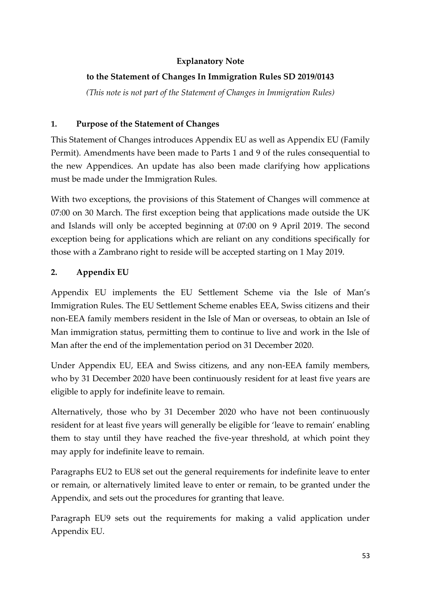# **Explanatory Note**

# **to the Statement of Changes In Immigration Rules SD 2019/0143**

*(This note is not part of the Statement of Changes in Immigration Rules)*

### **1. Purpose of the Statement of Changes**

This Statement of Changes introduces Appendix EU as well as Appendix EU (Family Permit). Amendments have been made to Parts 1 and 9 of the rules consequential to the new Appendices. An update has also been made clarifying how applications must be made under the Immigration Rules.

With two exceptions, the provisions of this Statement of Changes will commence at 07:00 on 30 March. The first exception being that applications made outside the UK and Islands will only be accepted beginning at 07:00 on 9 April 2019. The second exception being for applications which are reliant on any conditions specifically for those with a Zambrano right to reside will be accepted starting on 1 May 2019.

## **2. Appendix EU**

Appendix EU implements the EU Settlement Scheme via the Isle of Man's Immigration Rules. The EU Settlement Scheme enables EEA, Swiss citizens and their non-EEA family members resident in the Isle of Man or overseas, to obtain an Isle of Man immigration status, permitting them to continue to live and work in the Isle of Man after the end of the implementation period on 31 December 2020.

Under Appendix EU, EEA and Swiss citizens, and any non-EEA family members, who by 31 December 2020 have been continuously resident for at least five years are eligible to apply for indefinite leave to remain.

Alternatively, those who by 31 December 2020 who have not been continuously resident for at least five years will generally be eligible for 'leave to remain' enabling them to stay until they have reached the five-year threshold, at which point they may apply for indefinite leave to remain.

Paragraphs EU2 to EU8 set out the general requirements for indefinite leave to enter or remain, or alternatively limited leave to enter or remain, to be granted under the Appendix, and sets out the procedures for granting that leave.

Paragraph EU9 sets out the requirements for making a valid application under Appendix EU.